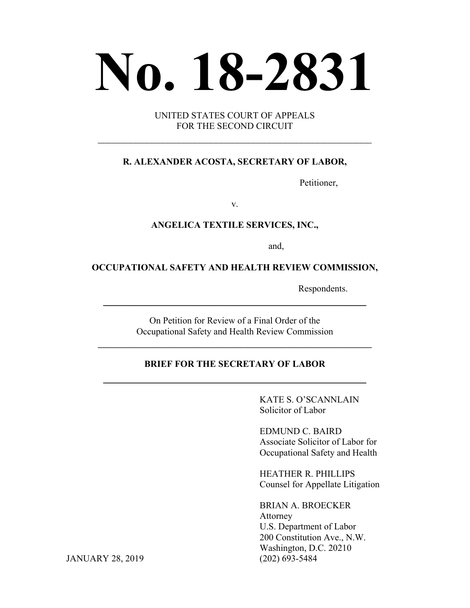# **No. 18-2831**

UNITED STATES COURT OF APPEALS FOR THE SECOND CIRCUIT

 $\mathcal{L}_\text{max}$  , and the contract of the contract of the contract of the contract of the contract of the contract of the contract of the contract of the contract of the contract of the contract of the contract of the contr

#### **R. ALEXANDER ACOSTA, SECRETARY OF LABOR,**

Petitioner,

v.

#### **ANGELICA TEXTILE SERVICES, INC.,**

and,

#### **OCCUPATIONAL SAFETY AND HEALTH REVIEW COMMISSION,**

Respondents.

On Petition for Review of a Final Order of the Occupational Safety and Health Review Commission

\_\_\_\_\_\_\_\_\_\_\_\_\_\_\_\_\_\_\_\_\_\_\_\_\_\_\_\_\_\_\_\_\_\_\_\_\_\_\_\_\_\_\_\_\_\_\_\_\_\_\_

**\_\_\_\_\_\_\_\_\_\_\_\_\_\_\_\_\_\_\_\_\_\_\_\_\_\_\_\_\_\_\_\_\_\_\_\_\_\_\_\_\_\_\_\_\_\_\_\_\_**

# **BRIEF FOR THE SECRETARY OF LABOR \_\_\_\_\_\_\_\_\_\_\_\_\_\_\_\_\_\_\_\_\_\_\_\_\_\_\_\_\_\_\_\_\_\_\_\_\_\_\_\_\_\_\_\_\_\_\_\_\_**

KATE S. O'SCANNLAIN Solicitor of Labor

EDMUND C. BAIRD Associate Solicitor of Labor for Occupational Safety and Health

HEATHER R. PHILLIPS Counsel for Appellate Litigation

BRIAN A. BROECKER Attorney U.S. Department of Labor 200 Constitution Ave., N.W. Washington, D.C. 20210

JANUARY 28, 2019 (202) 693-5484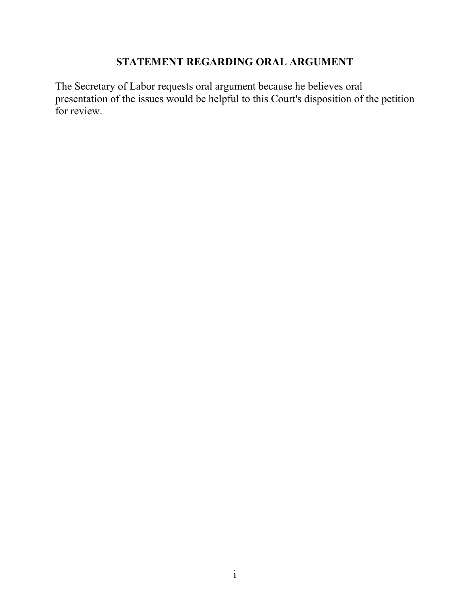# **STATEMENT REGARDING ORAL ARGUMENT**

<span id="page-1-0"></span>The Secretary of Labor requests oral argument because he believes oral presentation of the issues would be helpful to this Court's disposition of the petition for review.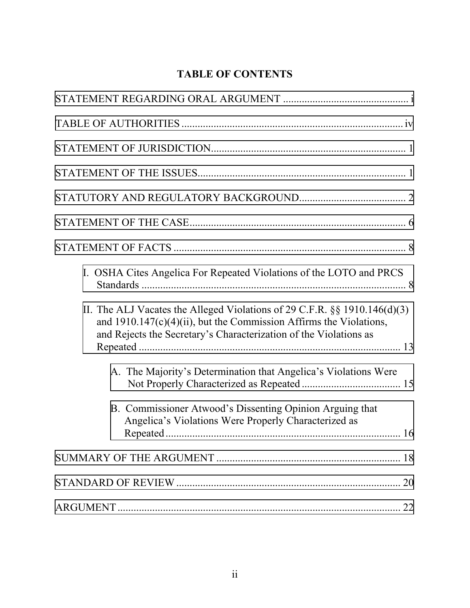# **TABLE OF CONTENTS**

| I. OSHA Cites Angelica For Repeated Violations of the LOTO and PRCS                                                                                                                                                         |
|-----------------------------------------------------------------------------------------------------------------------------------------------------------------------------------------------------------------------------|
| II. The ALJ Vacates the Alleged Violations of 29 C.F.R. $\S$ § 1910.146(d)(3)<br>and $1910.147(c)(4)(ii)$ , but the Commission Affirms the Violations,<br>and Rejects the Secretary's Characterization of the Violations as |
| A. The Majority's Determination that Angelica's Violations Were                                                                                                                                                             |
| B. Commissioner Atwood's Dissenting Opinion Arguing that<br>Angelica's Violations Were Properly Characterized as                                                                                                            |
|                                                                                                                                                                                                                             |
| 20                                                                                                                                                                                                                          |
|                                                                                                                                                                                                                             |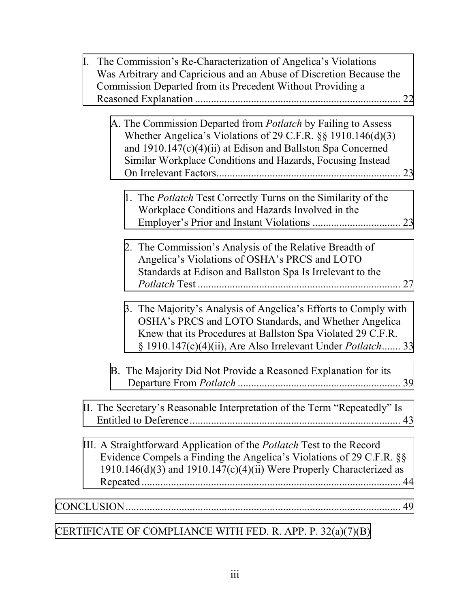| I. The Commission's Re-Characterization of Angelica's Violations<br>Was Arbitrary and Capricious and an Abuse of Discretion Because the<br>Commission Departed from its Precedent Without Providing a                                                             |
|-------------------------------------------------------------------------------------------------------------------------------------------------------------------------------------------------------------------------------------------------------------------|
|                                                                                                                                                                                                                                                                   |
| A. The Commission Departed from <i>Potlatch</i> by Failing to Assess<br>Whether Angelica's Violations of 29 C.F.R. §§ 1910.146(d)(3)<br>and 1910.147(c)(4)(ii) at Edison and Ballston Spa Concerned<br>Similar Workplace Conditions and Hazards, Focusing Instead |
| 1. The <i>Potlatch</i> Test Correctly Turns on the Similarity of the<br>Workplace Conditions and Hazards Involved in the                                                                                                                                          |
| 2. The Commission's Analysis of the Relative Breadth of<br>Angelica's Violations of OSHA's PRCS and LOTO<br>Standards at Edison and Ballston Spa Is Irrelevant to the                                                                                             |
| 3. The Majority's Analysis of Angelica's Efforts to Comply with<br>OSHA's PRCS and LOTO Standards, and Whether Angelica<br>Knew that its Procedures at Ballston Spa Violated 29 C.F.R.<br>§ 1910.147(c)(4)(ii), Are Also Irrelevant Under Potlatch 33             |
| B. The Majority Did Not Provide a Reasoned Explanation for its                                                                                                                                                                                                    |
| II. The Secretary's Reasonable Interpretation of the Term "Repeatedly" Is                                                                                                                                                                                         |
| III. A Straightforward Application of the <i>Potlatch</i> Test to the Record<br>Evidence Compels a Finding the Angelica's Violations of 29 C.F.R. §§<br>1910.146(d)(3) and 1910.147(c)(4)(ii) Were Properly Characterized as                                      |
|                                                                                                                                                                                                                                                                   |
|                                                                                                                                                                                                                                                                   |
| CERTIFICATE OF COMPLIANCE WITH FED. R. APP. P. 32(a)(7)(B)                                                                                                                                                                                                        |

iii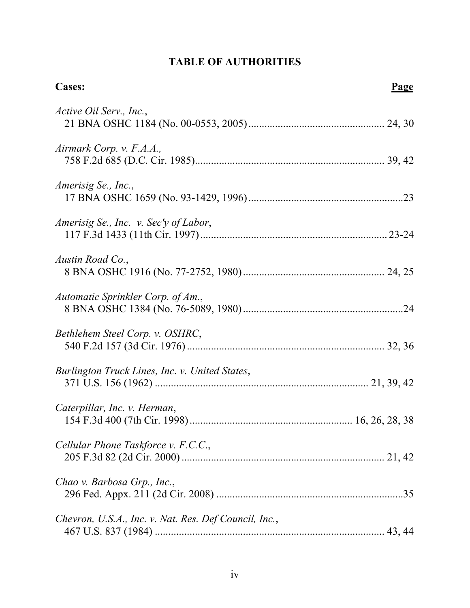# **TABLE OF AUTHORITIES**

<span id="page-4-0"></span>

| <b>Cases:</b>                                         | Page |
|-------------------------------------------------------|------|
| Active Oil Serv., Inc.,                               |      |
| Airmark Corp. v. F.A.A.,                              |      |
| Amerisig Se., Inc.,                                   |      |
| Amerisig Se., Inc. v. Sec'y of Labor,                 |      |
| Austin Road Co.,                                      |      |
| Automatic Sprinkler Corp. of Am.,                     |      |
| Bethlehem Steel Corp. v. OSHRC,                       |      |
| Burlington Truck Lines, Inc. v. United States,        |      |
| Caterpillar, Inc. v. Herman,                          |      |
| Cellular Phone Taskforce v. F.C.C.,                   |      |
| Chao v. Barbosa Grp., Inc.,                           |      |
| Chevron, U.S.A., Inc. v. Nat. Res. Def Council, Inc., |      |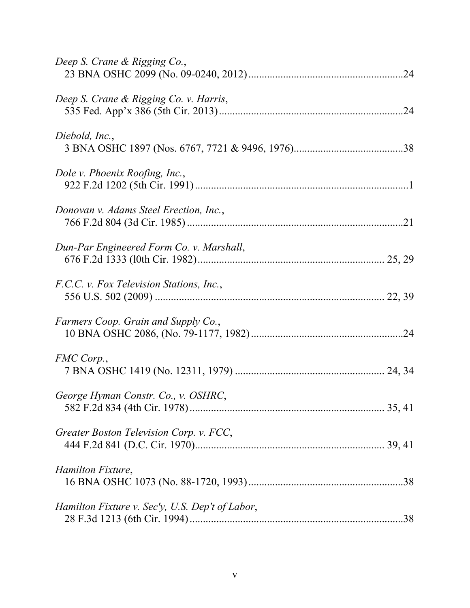| Deep S. Crane & Rigging Co.,                    |
|-------------------------------------------------|
| Deep S. Crane & Rigging Co. v. Harris,          |
| Diebold, Inc.,                                  |
| Dole v. Phoenix Roofing, Inc.,                  |
| Donovan v. Adams Steel Erection, Inc.,          |
| Dun-Par Engineered Form Co. v. Marshall,        |
| F.C.C. v. Fox Television Stations, Inc.,        |
| Farmers Coop. Grain and Supply Co.,             |
| FMC Corp.,                                      |
| George Hyman Constr. Co., v. OSHRC,             |
| Greater Boston Television Corp. v. FCC,         |
| Hamilton Fixture,                               |
| Hamilton Fixture v. Sec'y, U.S. Dep't of Labor, |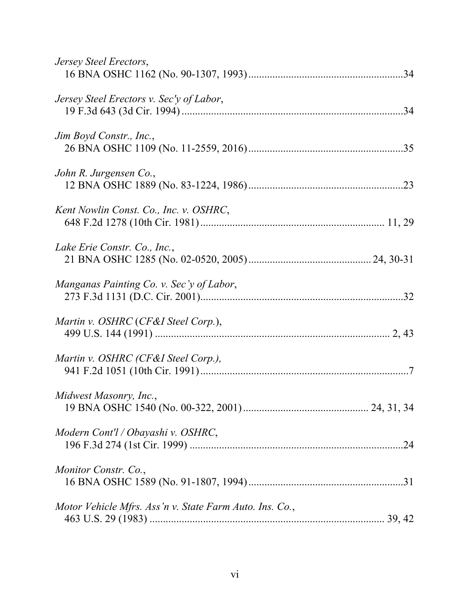| Jersey Steel Erectors,                                  |
|---------------------------------------------------------|
| Jersey Steel Erectors v. Sec'y of Labor,                |
| Jim Boyd Constr., Inc.,                                 |
| John R. Jurgensen Co.,                                  |
| Kent Nowlin Const. Co., Inc. v. OSHRC,                  |
| Lake Erie Constr. Co., Inc.,                            |
| Manganas Painting Co. v. Sec'y of Labor,                |
| Martin v. OSHRC (CF&I Steel Corp.),                     |
| Martin v. OSHRC (CF&I Steel Corp.),                     |
| Midwest Masonry, Inc.,                                  |
| Modern Cont'l / Obayashi v. OSHRC,                      |
| Monitor Constr. Co.,                                    |
| Motor Vehicle Mfrs. Ass'n v. State Farm Auto. Ins. Co., |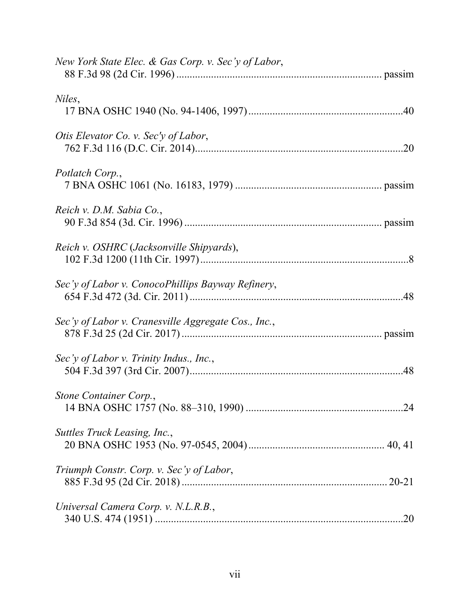| New York State Elec. & Gas Corp. v. Sec'y of Labor, |
|-----------------------------------------------------|
| Niles,                                              |
| Otis Elevator Co. v. Sec'y of Labor,                |
| Potlatch Corp.,                                     |
| Reich v. D.M. Sabia Co.,                            |
| Reich v. OSHRC (Jacksonville Shipyards),            |
| Sec'y of Labor v. ConocoPhillips Bayway Refinery,   |
| Sec'v of Labor v. Cranesville Aggregate Cos., Inc., |
| Sec'y of Labor v. Trinity Indus., Inc.,             |
| Stone Container Corp.,                              |
| Suttles Truck Leasing, Inc.,                        |
| Triumph Constr. Corp. v. Sec'y of Labor,            |
| Universal Camera Corp. v. N.L.R.B.,                 |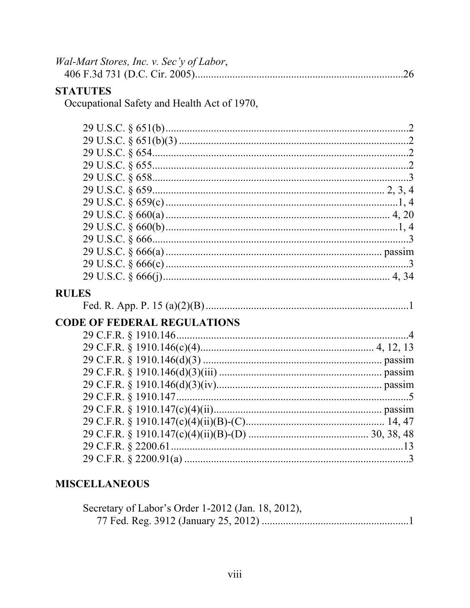| Wal-Mart Stores, Inc. v. Sec'y of Labor, |  |
|------------------------------------------|--|
|                                          |  |

# **STATUTES**

Occupational Safety and Health Act of 1970,

| <b>RULES</b> |  |
|--------------|--|
|              |  |

# **CODE OF FEDERAL REGULATIONS**

# **MISCELLANEOUS**

| Secretary of Labor's Order 1-2012 (Jan. 18, 2012), |  |
|----------------------------------------------------|--|
|                                                    |  |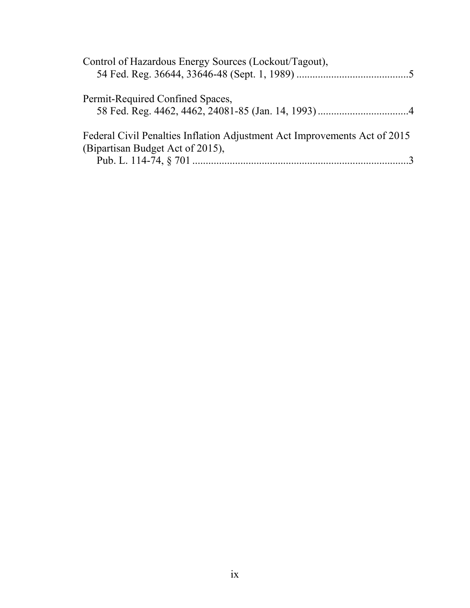| Control of Hazardous Energy Sources (Lockout/Tagout),                                                         |
|---------------------------------------------------------------------------------------------------------------|
| Permit-Required Confined Spaces,                                                                              |
|                                                                                                               |
| Federal Civil Penalties Inflation Adjustment Act Improvements Act of 2015<br>(Bipartisan Budget Act of 2015), |
|                                                                                                               |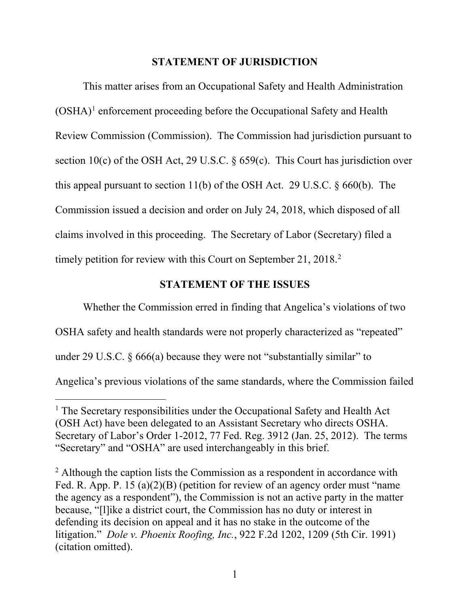#### **STATEMENT OF JURISDICTION**

<span id="page-10-0"></span>This matter arises from an Occupational Safety and Health Administration  $(OSHA)^1$  $(OSHA)^1$  enforcement proceeding before the Occupational Safety and Health Review Commission (Commission). The Commission had jurisdiction pursuant to section 10(c) of the OSH Act, 29 U.S.C.  $\S 659(c)$ . This Court has jurisdiction over this appeal pursuant to section 11(b) of the OSH Act. 29 U.S.C.  $\S 660(b)$ . The Commission issued a decision and order on July 24, 2018, which disposed of all claims involved in this proceeding. The Secretary of Labor (Secretary) filed a timely petition for review with this Court on September [2](#page-10-2)1, 2018.<sup>2</sup>

#### **STATEMENT OF THE ISSUES**

Whether the Commission erred in finding that Angelica's violations of two

OSHA safety and health standards were not properly characterized as "repeated"

under 29 U.S.C. § 666(a) because they were not "substantially similar" to

 $\ddot{\phantom{a}}$ 

Angelica's previous violations of the same standards, where the Commission failed

<span id="page-10-1"></span><sup>&</sup>lt;sup>1</sup> The Secretary responsibilities under the Occupational Safety and Health Act (OSH Act) have been delegated to an Assistant Secretary who directs OSHA. Secretary of Labor's Order 1-2012, 77 Fed. Reg. 3912 (Jan. 25, 2012). The terms "Secretary" and "OSHA" are used interchangeably in this brief.

<span id="page-10-2"></span><sup>&</sup>lt;sup>2</sup> Although the caption lists the Commission as a respondent in accordance with Fed. R. App. P. 15 (a)(2)(B) (petition for review of an agency order must "name the agency as a respondent"), the Commission is not an active party in the matter because, "[l]ike a district court, the Commission has no duty or interest in defending its decision on appeal and it has no stake in the outcome of the litigation." *Dole v. Phoenix Roofing, Inc.*, 922 F.2d 1202, 1209 (5th Cir. 1991) (citation omitted).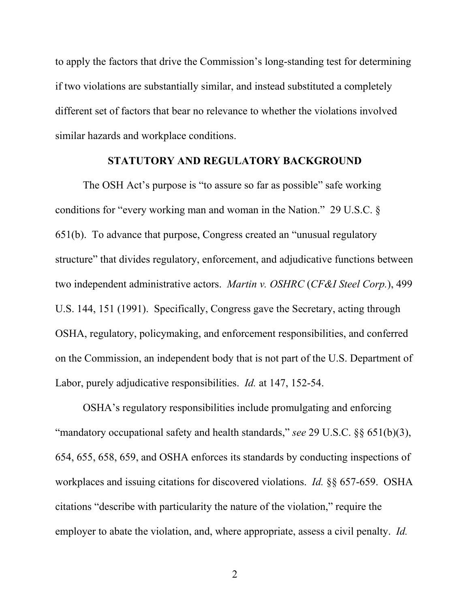<span id="page-11-0"></span>to apply the factors that drive the Commission's long-standing test for determining if two violations are substantially similar, and instead substituted a completely different set of factors that bear no relevance to whether the violations involved similar hazards and workplace conditions.

#### **STATUTORY AND REGULATORY BACKGROUND**

The OSH Act's purpose is "to assure so far as possible" safe working conditions for "every working man and woman in the Nation." 29 U.S.C. § 651(b). To advance that purpose, Congress created an "unusual regulatory structure" that divides regulatory, enforcement, and adjudicative functions between two independent administrative actors. *Martin v. OSHRC* (*CF&I Steel Corp.*), 499 U.S. 144, 151 (1991). Specifically, Congress gave the Secretary, acting through OSHA, regulatory, policymaking, and enforcement responsibilities, and conferred on the Commission, an independent body that is not part of the U.S. Department of Labor, purely adjudicative responsibilities. *Id.* at 147, 152-54.

OSHA's regulatory responsibilities include promulgating and enforcing "mandatory occupational safety and health standards," *see* 29 U.S.C. §§ 651(b)(3), 654, 655, 658, 659, and OSHA enforces its standards by conducting inspections of workplaces and issuing citations for discovered violations. *Id.* §§ 657-659. OSHA citations "describe with particularity the nature of the violation," require the employer to abate the violation, and, where appropriate, assess a civil penalty. *Id.*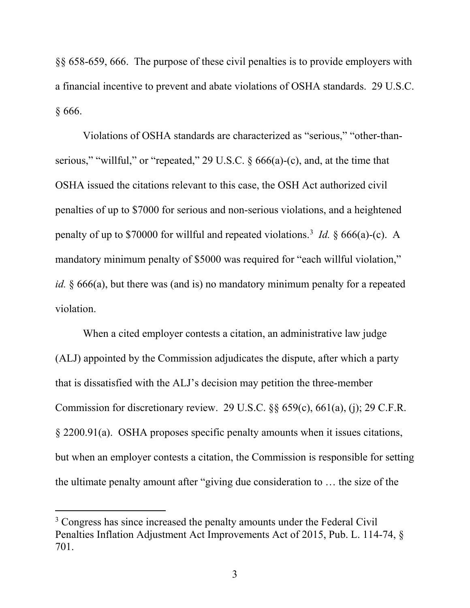§§ 658-659, 666. The purpose of these civil penalties is to provide employers with a financial incentive to prevent and abate violations of OSHA standards. 29 U.S.C. § 666.

Violations of OSHA standards are characterized as "serious," "other-thanserious," "willful," or "repeated," 29 U.S.C. § 666(a)-(c), and, at the time that OSHA issued the citations relevant to this case, the OSH Act authorized civil penalties of up to \$7000 for serious and non-serious violations, and a heightened penalty of up to \$70000 for willful and repeated violations.[3](#page-12-0) *Id.* § 666(a)-(c). A mandatory minimum penalty of \$5000 was required for "each willful violation," *id.* § 666(a), but there was (and is) no mandatory minimum penalty for a repeated violation.

When a cited employer contests a citation, an administrative law judge (ALJ) appointed by the Commission adjudicates the dispute, after which a party that is dissatisfied with the ALJ's decision may petition the three-member Commission for discretionary review. 29 U.S.C. §§ 659(c), 661(a), (j); 29 C.F.R. § 2200.91(a). OSHA proposes specific penalty amounts when it issues citations, but when an employer contests a citation, the Commission is responsible for setting the ultimate penalty amount after "giving due consideration to … the size of the

 $\overline{a}$ 

<span id="page-12-0"></span><sup>&</sup>lt;sup>3</sup> Congress has since increased the penalty amounts under the Federal Civil Penalties Inflation Adjustment Act Improvements Act of 2015, Pub. L. 114-74, § 701.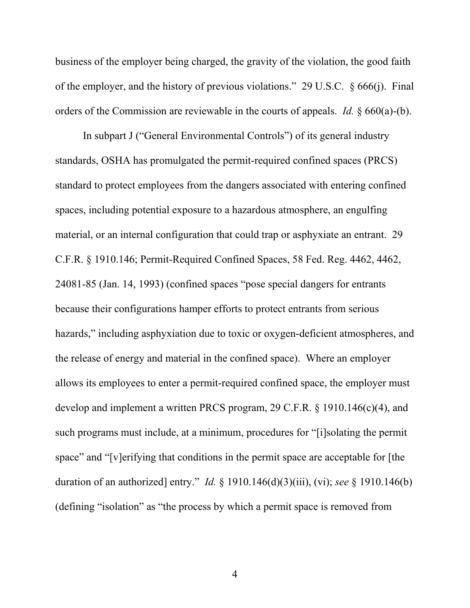business of the employer being charged, the gravity of the violation, the good faith of the employer, and the history of previous violations." 29 U.S.C. § 666(j). Final orders of the Commission are reviewable in the courts of appeals. *Id.* § 660(a)-(b).

In subpart J ("General Environmental Controls") of its general industry standards, OSHA has promulgated the permit-required confined spaces (PRCS) standard to protect employees from the dangers associated with entering confined spaces, including potential exposure to a hazardous atmosphere, an engulfing material, or an internal configuration that could trap or asphyxiate an entrant. 29 C.F.R. § 1910.146; Permit-Required Confined Spaces, 58 Fed. Reg. 4462, 4462, 24081-85 (Jan. 14, 1993) (confined spaces "pose special dangers for entrants because their configurations hamper efforts to protect entrants from serious hazards," including asphyxiation due to toxic or oxygen-deficient atmospheres, and the release of energy and material in the confined space). Where an employer allows its employees to enter a permit-required confined space, the employer must develop and implement a written PRCS program, 29 C.F.R. § 1910.146(c)(4), and such programs must include, at a minimum, procedures for "[i]solating the permit space" and "[v]erifying that conditions in the permit space are acceptable for [the duration of an authorized] entry." *Id.* § 1910.146(d)(3)(iii), (vi); *see* § 1910.146(b) (defining "isolation" as "the process by which a permit space is removed from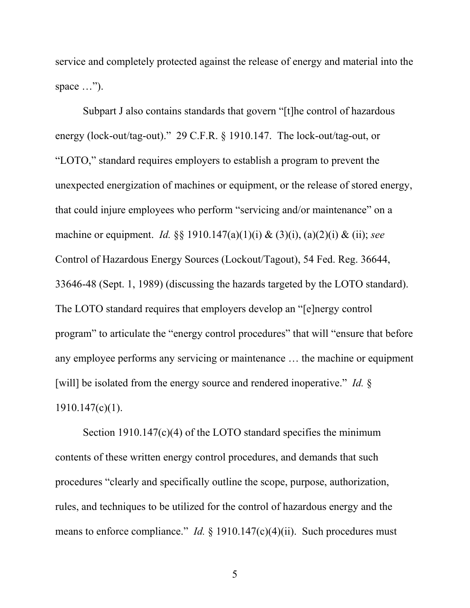service and completely protected against the release of energy and material into the space ...").

Subpart J also contains standards that govern "[t]he control of hazardous energy (lock-out/tag-out)." 29 C.F.R. § 1910.147. The lock-out/tag-out, or "LOTO," standard requires employers to establish a program to prevent the unexpected energization of machines or equipment, or the release of stored energy, that could injure employees who perform "servicing and/or maintenance" on a machine or equipment. *Id.* §§ 1910.147(a)(1)(i) & (3)(i), (a)(2)(i) & (ii); *see*  Control of Hazardous Energy Sources (Lockout/Tagout), 54 Fed. Reg. 36644, 33646-48 (Sept. 1, 1989) (discussing the hazards targeted by the LOTO standard). The LOTO standard requires that employers develop an "[e]nergy control program" to articulate the "energy control procedures" that will "ensure that before any employee performs any servicing or maintenance … the machine or equipment [will] be isolated from the energy source and rendered inoperative." *Id.* § 1910.147(c)(1).

Section 1910.147(c)(4) of the LOTO standard specifies the minimum contents of these written energy control procedures, and demands that such procedures "clearly and specifically outline the scope, purpose, authorization, rules, and techniques to be utilized for the control of hazardous energy and the means to enforce compliance." *Id.* § 1910.147(c)(4)(ii). Such procedures must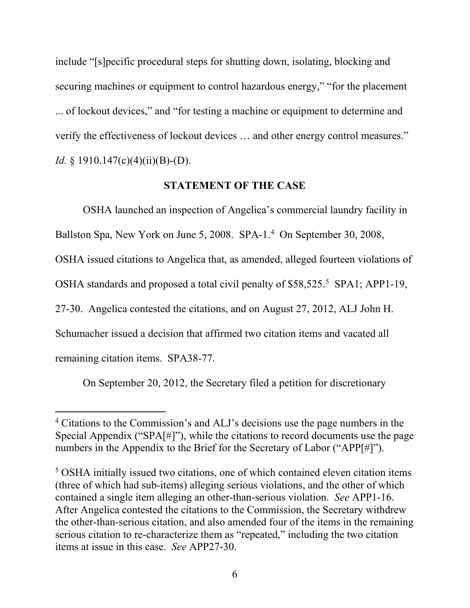<span id="page-15-0"></span>include "[s]pecific procedural steps for shutting down, isolating, blocking and securing machines or equipment to control hazardous energy," "for the placement ... of lockout devices," and "for testing a machine or equipment to determine and verify the effectiveness of lockout devices … and other energy control measures." *Id.* § 1910.147(c)(4)(ii)(B)-(D).

#### **STATEMENT OF THE CASE**

OSHA launched an inspection of Angelica's commercial laundry facility in Ballston Spa, New York on June 5, 2008. SPA-1.[4](#page-15-1) On September 30, 2008, OSHA issued citations to Angelica that, as amended, alleged fourteen violations of OSHA standards and proposed a total civil penalty of \$58,525. [5](#page-15-2) SPA1; APP1-19, 27-30. Angelica contested the citations, and on August 27, 2012, ALJ John H. Schumacher issued a decision that affirmed two citation items and vacated all remaining citation items. SPA38-77.

On September 20, 2012, the Secretary filed a petition for discretionary

 $\ddot{\phantom{a}}$ 

<span id="page-15-1"></span><sup>4</sup> Citations to the Commission's and ALJ's decisions use the page numbers in the Special Appendix ("SPA[#]"), while the citations to record documents use the page numbers in the Appendix to the Brief for the Secretary of Labor ("APP[#]").

<span id="page-15-2"></span><sup>5</sup> OSHA initially issued two citations, one of which contained eleven citation items (three of which had sub-items) alleging serious violations, and the other of which contained a single item alleging an other-than-serious violation. *See* APP1-16. After Angelica contested the citations to the Commission, the Secretary withdrew the other-than-serious citation, and also amended four of the items in the remaining serious citation to re-characterize them as "repeated," including the two citation items at issue in this case. *See* APP27-30.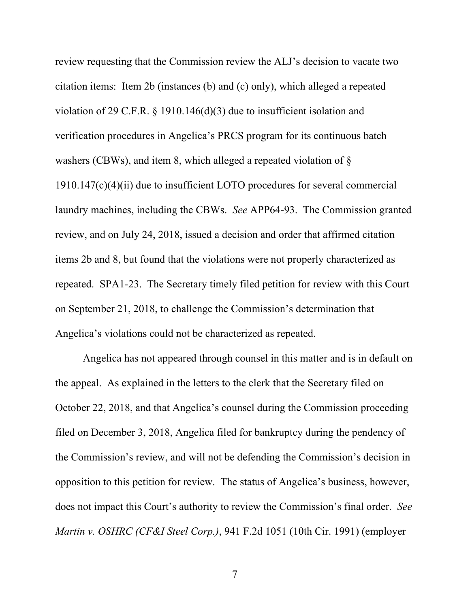review requesting that the Commission review the ALJ's decision to vacate two citation items: Item 2b (instances (b) and (c) only), which alleged a repeated violation of 29 C.F.R. § 1910.146(d)(3) due to insufficient isolation and verification procedures in Angelica's PRCS program for its continuous batch washers (CBWs), and item 8, which alleged a repeated violation of § 1910.147(c)(4)(ii) due to insufficient LOTO procedures for several commercial laundry machines, including the CBWs. *See* APP64-93. The Commission granted review, and on July 24, 2018, issued a decision and order that affirmed citation items 2b and 8, but found that the violations were not properly characterized as repeated. SPA1-23. The Secretary timely filed petition for review with this Court on September 21, 2018, to challenge the Commission's determination that Angelica's violations could not be characterized as repeated.

Angelica has not appeared through counsel in this matter and is in default on the appeal. As explained in the letters to the clerk that the Secretary filed on October 22, 2018, and that Angelica's counsel during the Commission proceeding filed on December 3, 2018, Angelica filed for bankruptcy during the pendency of the Commission's review, and will not be defending the Commission's decision in opposition to this petition for review. The status of Angelica's business, however, does not impact this Court's authority to review the Commission's final order. *See Martin v. OSHRC (CF&I Steel Corp.)*, 941 F.2d 1051 (10th Cir. 1991) (employer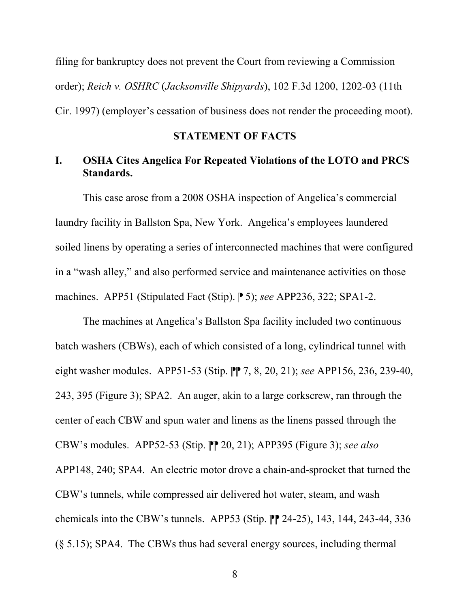<span id="page-17-0"></span>filing for bankruptcy does not prevent the Court from reviewing a Commission order); *Reich v. OSHRC* (*Jacksonville Shipyards*), 102 F.3d 1200, 1202-03 (11th Cir. 1997) (employer's cessation of business does not render the proceeding moot).

#### **STATEMENT OF FACTS**

#### **I. OSHA Cites Angelica For Repeated Violations of the LOTO and PRCS Standards.**

This case arose from a 2008 OSHA inspection of Angelica's commercial laundry facility in Ballston Spa, New York. Angelica's employees laundered soiled linens by operating a series of interconnected machines that were configured in a "wash alley," and also performed service and maintenance activities on those machines. APP51 (Stipulated Fact (Stip). ⁋ 5); *see* APP236, 322; SPA1-2.

The machines at Angelica's Ballston Spa facility included two continuous batch washers (CBWs), each of which consisted of a long, cylindrical tunnel with eight washer modules. APP51-53 (Stip. ⁋⁋ 7, 8, 20, 21); *see* APP156, 236, 239-40, 243, 395 (Figure 3); SPA2. An auger, akin to a large corkscrew, ran through the center of each CBW and spun water and linens as the linens passed through the CBW's modules. APP52-53 (Stip. ⁋⁋ 20, 21); APP395 (Figure 3); *see also* APP148, 240; SPA4. An electric motor drove a chain-and-sprocket that turned the CBW's tunnels, while compressed air delivered hot water, steam, and wash chemicals into the CBW's tunnels. APP53 (Stip.  $\mathbb{P}$  24-25), 143, 144, 243-44, 336 (§ 5.15); SPA4. The CBWs thus had several energy sources, including thermal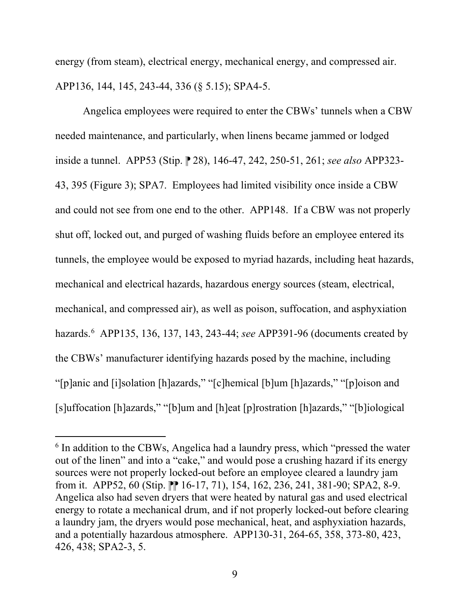energy (from steam), electrical energy, mechanical energy, and compressed air. APP136, 144, 145, 243-44, 336 (§ 5.15); SPA4-5.

Angelica employees were required to enter the CBWs' tunnels when a CBW needed maintenance, and particularly, when linens became jammed or lodged inside a tunnel. APP53 (Stip. ⁋ 28), 146-47, 242, 250-51, 261; *see also* APP323- 43, 395 (Figure 3); SPA7. Employees had limited visibility once inside a CBW and could not see from one end to the other. APP148. If a CBW was not properly shut off, locked out, and purged of washing fluids before an employee entered its tunnels, the employee would be exposed to myriad hazards, including heat hazards, mechanical and electrical hazards, hazardous energy sources (steam, electrical, mechanical, and compressed air), as well as poison, suffocation, and asphyxiation hazards.[6](#page-18-0) APP135, 136, 137, 143, 243-44; *see* APP391-96 (documents created by the CBWs' manufacturer identifying hazards posed by the machine, including "[p]anic and [i]solation [h]azards," "[c]hemical [b]um [h]azards," "[p]oison and [s]uffocation [h]azards," "[b]um and [h]eat [p]rostration [h]azards," "[b]iological

 $\overline{a}$ 

<span id="page-18-0"></span><sup>&</sup>lt;sup>6</sup> In addition to the CBWs, Angelica had a laundry press, which "pressed the water" out of the linen" and into a "cake," and would pose a crushing hazard if its energy sources were not properly locked-out before an employee cleared a laundry jam from it. APP52, 60 (Stip.  $\mathbb{P}$  16-17, 71), 154, 162, 236, 241, 381-90; SPA2, 8-9. Angelica also had seven dryers that were heated by natural gas and used electrical energy to rotate a mechanical drum, and if not properly locked-out before clearing a laundry jam, the dryers would pose mechanical, heat, and asphyxiation hazards, and a potentially hazardous atmosphere. APP130-31, 264-65, 358, 373-80, 423, 426, 438; SPA2-3, 5.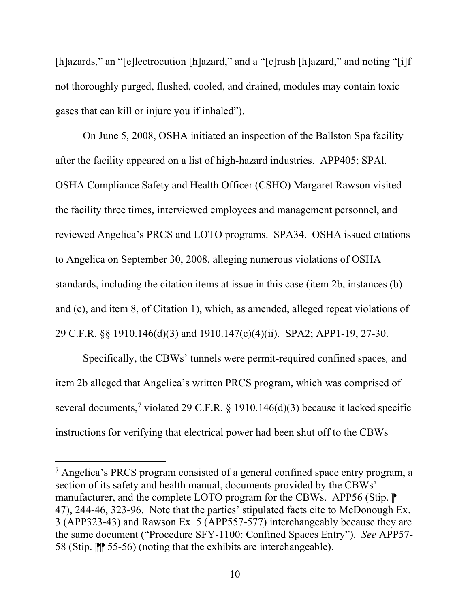[h]azards," an "[e]lectrocution [h]azard," and a "[c]rush [h]azard," and noting "[i]f not thoroughly purged, flushed, cooled, and drained, modules may contain toxic gases that can kill or injure you if inhaled").

On June 5, 2008, OSHA initiated an inspection of the Ballston Spa facility after the facility appeared on a list of high-hazard industries. APP405; SPAl. OSHA Compliance Safety and Health Officer (CSHO) Margaret Rawson visited the facility three times, interviewed employees and management personnel, and reviewed Angelica's PRCS and LOTO programs. SPA34. OSHA issued citations to Angelica on September 30, 2008, alleging numerous violations of OSHA standards, including the citation items at issue in this case (item 2b, instances (b) and (c), and item 8, of Citation 1), which, as amended, alleged repeat violations of 29 C.F.R. §§ 1910.146(d)(3) and 1910.147(c)(4)(ii). SPA2; APP1-19, 27-30.

Specifically, the CBWs' tunnels were permit-required confined spaces*,* and item 2b alleged that Angelica's written PRCS program, which was comprised of several documents,<sup>[7](#page-19-0)</sup> violated 29 C.F.R. § 1910.146(d)(3) because it lacked specific instructions for verifying that electrical power had been shut off to the CBWs

 $\overline{a}$ 

<span id="page-19-0"></span><sup>7</sup> Angelica's PRCS program consisted of a general confined space entry program, a section of its safety and health manual, documents provided by the CBWs' manufacturer, and the complete LOTO program for the CBWs. APP56 (Stip.  $\mathbb P$ ) 47), 244-46, 323-96. Note that the parties' stipulated facts cite to McDonough Ex. 3 (APP323-43) and Rawson Ex. 5 (APP557-577) interchangeably because they are the same document ("Procedure SFY-1100: Confined Spaces Entry"). *See* APP57- 58 (Stip. ⁋⁋ 55-56) (noting that the exhibits are interchangeable).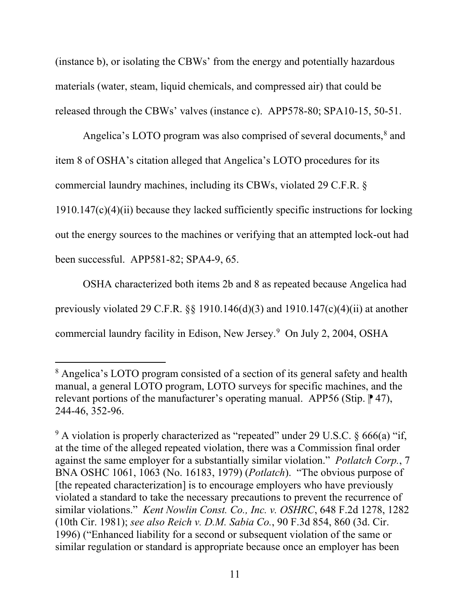(instance b), or isolating the CBWs' from the energy and potentially hazardous materials (water, steam, liquid chemicals, and compressed air) that could be released through the CBWs' valves (instance c). APP578-80; SPA10-15, 50-51.

Angelica's LOTO program was also comprised of several documents, $\delta$  and item 8 of OSHA's citation alleged that Angelica's LOTO procedures for its commercial laundry machines, including its CBWs, violated 29 C.F.R. §  $1910.147(c)(4)(ii)$  because they lacked sufficiently specific instructions for locking out the energy sources to the machines or verifying that an attempted lock-out had been successful. APP581-82; SPA4-9, 65.

OSHA characterized both items 2b and 8 as repeated because Angelica had previously violated 29 C.F.R. §§ 1910.146(d)(3) and 1910.147(c)(4)(ii) at another commercial laundry facility in Edison, New Jersey. [9](#page-20-1) On July 2, 2004, OSHA

<span id="page-20-0"></span> $\overline{a}$ <sup>8</sup> Angelica's LOTO program consisted of a section of its general safety and health manual, a general LOTO program, LOTO surveys for specific machines, and the relevant portions of the manufacturer's operating manual. APP56 (Stip.  $\lceil 47 \rceil$ , 244-46, 352-96.

<span id="page-20-1"></span> $9$  A violation is properly characterized as "repeated" under 29 U.S.C. § 666(a) "if, at the time of the alleged repeated violation, there was a Commission final order against the same employer for a substantially similar violation." *Potlatch Corp.*, 7 BNA OSHC 1061, 1063 (No. 16183, 1979) (*Potlatch*)."The obvious purpose of [the repeated characterization] is to encourage employers who have previously violated a standard to take the necessary precautions to prevent the recurrence of similar violations." *Kent Nowlin Const. Co., Inc. v. OSHRC*, 648 F.2d 1278, 1282 (10th Cir. 1981); *see also Reich v. D.M. Sabia Co.*, 90 F.3d 854, 860 (3d. Cir. 1996) ("Enhanced liability for a second or subsequent violation of the same or similar regulation or standard is appropriate because once an employer has been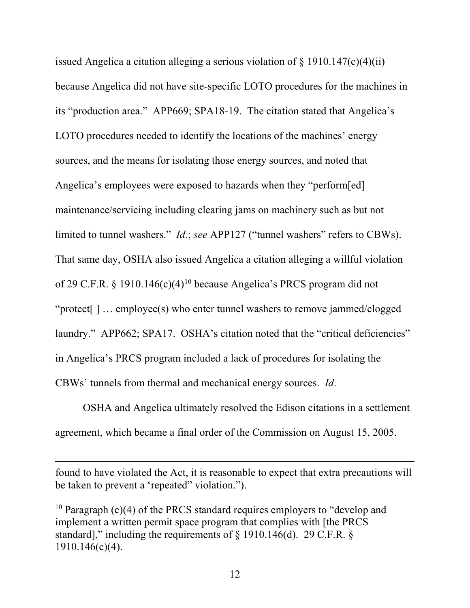issued Angelica a citation alleging a serious violation of  $\S$  1910.147(c)(4)(ii) because Angelica did not have site-specific LOTO procedures for the machines in its "production area." APP669; SPA18-19. The citation stated that Angelica's LOTO procedures needed to identify the locations of the machines' energy sources, and the means for isolating those energy sources, and noted that Angelica's employees were exposed to hazards when they "perform[ed] maintenance/servicing including clearing jams on machinery such as but not limited to tunnel washers." *Id.*; *see* APP127 ("tunnel washers" refers to CBWs). That same day, OSHA also issued Angelica a citation alleging a willful violation of 29 C.F.R. § 19[10](#page-21-0).146(c)(4)<sup>10</sup> because Angelica's PRCS program did not "protect[ ] … employee(s) who enter tunnel washers to remove jammed/clogged laundry." APP662; SPA17. OSHA's citation noted that the "critical deficiencies" in Angelica's PRCS program included a lack of procedures for isolating the CBWs' tunnels from thermal and mechanical energy sources. *Id*.

OSHA and Angelica ultimately resolved the Edison citations in a settlement agreement, which became a final order of the Commission on August 15, 2005.

found to have violated the Act, it is reasonable to expect that extra precautions will be taken to prevent a 'repeated" violation.").

<span id="page-21-0"></span><sup>10</sup> Paragraph (c)(4) of the PRCS standard requires employers to "develop and implement a written permit space program that complies with [the PRCS standard]," including the requirements of  $\S$  1910.146(d). 29 C.F.R.  $\S$ 1910.146(c)(4).

 $\overline{a}$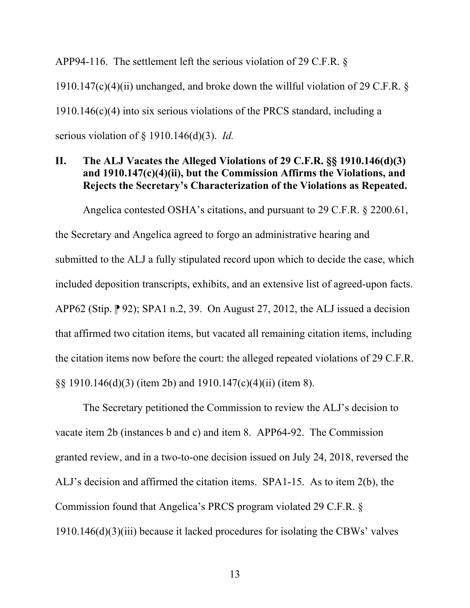<span id="page-22-0"></span>APP94-116. The settlement left the serious violation of 29 C.F.R. § 1910.147(c)(4)(ii) unchanged, and broke down the willful violation of 29 C.F.R.  $\delta$ 1910.146(c)(4) into six serious violations of the PRCS standard, including a serious violation of § 1910.146(d)(3). *Id.* 

## **II. The ALJ Vacates the Alleged Violations of 29 C.F.R. §§ 1910.146(d)(3) and 1910.147(c)(4)(ii), but the Commission Affirms the Violations, and Rejects the Secretary's Characterization of the Violations as Repeated.**

Angelica contested OSHA's citations, and pursuant to 29 C.F.R. § 2200.61, the Secretary and Angelica agreed to forgo an administrative hearing and submitted to the ALJ a fully stipulated record upon which to decide the case, which included deposition transcripts, exhibits, and an extensive list of agreed-upon facts. APP62 (Stip.  $\mathbb{P}$  92); SPA1 n.2, 39. On August 27, 2012, the ALJ issued a decision that affirmed two citation items, but vacated all remaining citation items, including the citation items now before the court: the alleged repeated violations of 29 C.F.R. §§ 1910.146(d)(3) (item 2b) and 1910.147(c)(4)(ii) (item 8).

The Secretary petitioned the Commission to review the ALJ's decision to vacate item 2b (instances b and c) and item 8. APP64-92. The Commission granted review, and in a two-to-one decision issued on July 24, 2018, reversed the ALJ's decision and affirmed the citation items. SPA1-15. As to item 2(b), the Commission found that Angelica's PRCS program violated 29 C.F.R. § 1910.146(d)(3)(iii) because it lacked procedures for isolating the CBWs' valves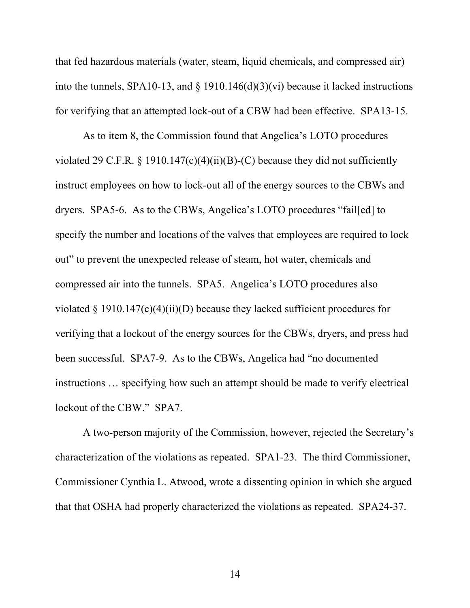that fed hazardous materials (water, steam, liquid chemicals, and compressed air) into the tunnels, SPA10-13, and  $\S$  1910.146(d)(3)(vi) because it lacked instructions for verifying that an attempted lock-out of a CBW had been effective. SPA13-15.

As to item 8, the Commission found that Angelica's LOTO procedures violated 29 C.F.R.  $\S$  1910.147(c)(4)(ii)(B)-(C) because they did not sufficiently instruct employees on how to lock-out all of the energy sources to the CBWs and dryers. SPA5-6. As to the CBWs, Angelica's LOTO procedures "fail[ed] to specify the number and locations of the valves that employees are required to lock out" to prevent the unexpected release of steam, hot water, chemicals and compressed air into the tunnels. SPA5. Angelica's LOTO procedures also violated  $\S 1910.147(c)(4)(ii)(D)$  because they lacked sufficient procedures for verifying that a lockout of the energy sources for the CBWs, dryers, and press had been successful. SPA7-9. As to the CBWs, Angelica had "no documented instructions … specifying how such an attempt should be made to verify electrical lockout of the CBW." SPA7.

A two-person majority of the Commission, however, rejected the Secretary's characterization of the violations as repeated. SPA1-23. The third Commissioner, Commissioner Cynthia L. Atwood, wrote a dissenting opinion in which she argued that that OSHA had properly characterized the violations as repeated. SPA24-37.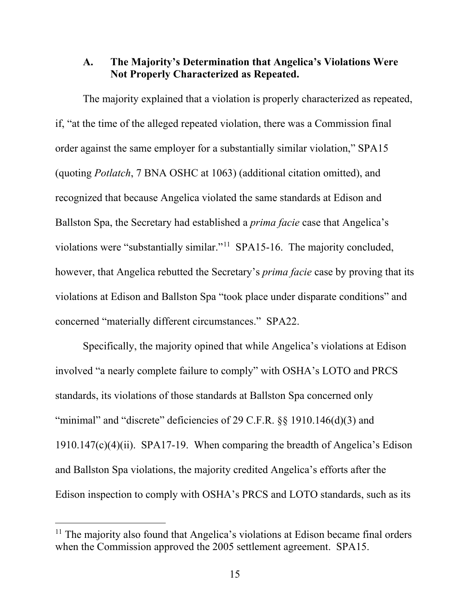#### <span id="page-24-0"></span>**A. The Majority's Determination that Angelica's Violations Were Not Properly Characterized as Repeated.**

The majority explained that a violation is properly characterized as repeated, if, "at the time of the alleged repeated violation, there was a Commission final order against the same employer for a substantially similar violation," SPA15 (quoting *Potlatch*, 7 BNA OSHC at 1063) (additional citation omitted), and recognized that because Angelica violated the same standards at Edison and Ballston Spa, the Secretary had established a *prima facie* case that Angelica's violations were "substantially similar."[11](#page-24-1) SPA15-16. The majority concluded, however, that Angelica rebutted the Secretary's *prima facie* case by proving that its violations at Edison and Ballston Spa "took place under disparate conditions" and concerned "materially different circumstances." SPA22.

Specifically, the majority opined that while Angelica's violations at Edison involved "a nearly complete failure to comply" with OSHA's LOTO and PRCS standards, its violations of those standards at Ballston Spa concerned only "minimal" and "discrete" deficiencies of 29 C.F.R. §§ 1910.146(d)(3) and 1910.147(c)(4)(ii). SPA17-19. When comparing the breadth of Angelica's Edison and Ballston Spa violations, the majority credited Angelica's efforts after the Edison inspection to comply with OSHA's PRCS and LOTO standards, such as its

 $\overline{a}$ 

<span id="page-24-1"></span><sup>&</sup>lt;sup>11</sup> The majority also found that Angelica's violations at Edison became final orders when the Commission approved the 2005 settlement agreement. SPA15.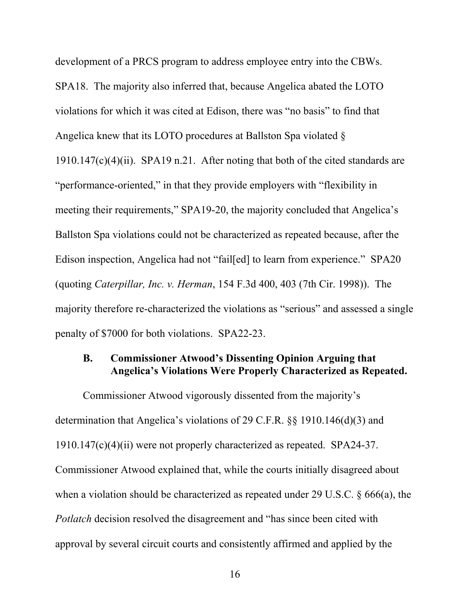<span id="page-25-0"></span>development of a PRCS program to address employee entry into the CBWs. SPA18. The majority also inferred that, because Angelica abated the LOTO violations for which it was cited at Edison, there was "no basis" to find that Angelica knew that its LOTO procedures at Ballston Spa violated §  $1910.147(c)(4)(ii)$ . SPA19 n.21. After noting that both of the cited standards are "performance-oriented," in that they provide employers with "flexibility in meeting their requirements," SPA19-20, the majority concluded that Angelica's Ballston Spa violations could not be characterized as repeated because, after the Edison inspection, Angelica had not "fail[ed] to learn from experience." SPA20 (quoting *Caterpillar, Inc. v. Herman*, 154 F.3d 400, 403 (7th Cir. 1998)). The majority therefore re-characterized the violations as "serious" and assessed a single penalty of \$7000 for both violations. SPA22-23.

#### **B. Commissioner Atwood's Dissenting Opinion Arguing that Angelica's Violations Were Properly Characterized as Repeated.**

Commissioner Atwood vigorously dissented from the majority's determination that Angelica's violations of 29 C.F.R. §§ 1910.146(d)(3) and 1910.147(c)(4)(ii) were not properly characterized as repeated. SPA24-37. Commissioner Atwood explained that, while the courts initially disagreed about when a violation should be characterized as repeated under 29 U.S.C. § 666(a), the *Potlatch* decision resolved the disagreement and "has since been cited with approval by several circuit courts and consistently affirmed and applied by the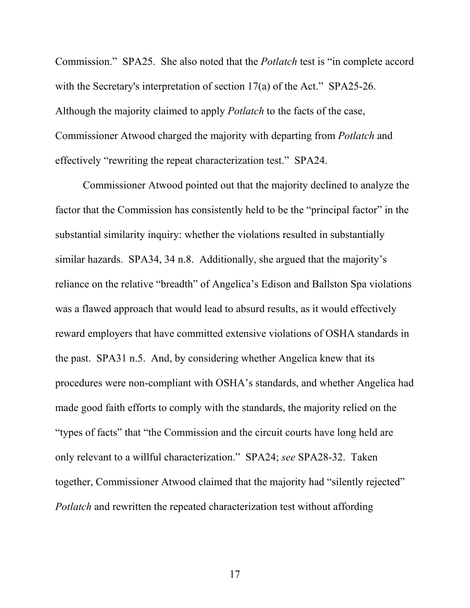Commission." SPA25. She also noted that the *Potlatch* test is "in complete accord with the Secretary's interpretation of section 17(a) of the Act." SPA25-26. Although the majority claimed to apply *Potlatch* to the facts of the case, Commissioner Atwood charged the majority with departing from *Potlatch* and effectively "rewriting the repeat characterization test." SPA24.

Commissioner Atwood pointed out that the majority declined to analyze the factor that the Commission has consistently held to be the "principal factor" in the substantial similarity inquiry: whether the violations resulted in substantially similar hazards. SPA34, 34 n.8. Additionally, she argued that the majority's reliance on the relative "breadth" of Angelica's Edison and Ballston Spa violations was a flawed approach that would lead to absurd results, as it would effectively reward employers that have committed extensive violations of OSHA standards in the past. SPA31 n.5. And, by considering whether Angelica knew that its procedures were non-compliant with OSHA's standards, and whether Angelica had made good faith efforts to comply with the standards, the majority relied on the "types of facts" that "the Commission and the circuit courts have long held are only relevant to a willful characterization." SPA24; *see* SPA28-32. Taken together, Commissioner Atwood claimed that the majority had "silently rejected" *Potlatch* and rewritten the repeated characterization test without affording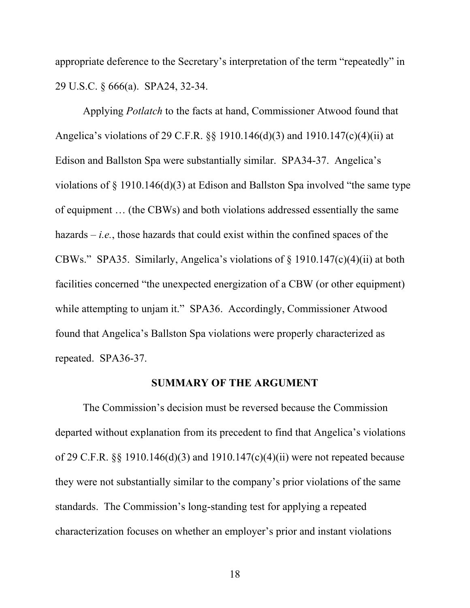<span id="page-27-0"></span>appropriate deference to the Secretary's interpretation of the term "repeatedly" in 29 U.S.C. § 666(a). SPA24, 32-34.

Applying *Potlatch* to the facts at hand, Commissioner Atwood found that Angelica's violations of 29 C.F.R. §§ 1910.146(d)(3) and 1910.147(c)(4)(ii) at Edison and Ballston Spa were substantially similar. SPA34-37. Angelica's violations of § 1910.146(d)(3) at Edison and Ballston Spa involved "the same type of equipment … (the CBWs) and both violations addressed essentially the same hazards – *i.e.*, those hazards that could exist within the confined spaces of the CBWs." SPA35. Similarly, Angelica's violations of § 1910.147(c)(4)(ii) at both facilities concerned "the unexpected energization of a CBW (or other equipment) while attempting to unjam it." SPA36. Accordingly, Commissioner Atwood found that Angelica's Ballston Spa violations were properly characterized as repeated. SPA36-37.

#### **SUMMARY OF THE ARGUMENT**

The Commission's decision must be reversed because the Commission departed without explanation from its precedent to find that Angelica's violations of 29 C.F.R. §§ 1910.146(d)(3) and 1910.147(c)(4)(ii) were not repeated because they were not substantially similar to the company's prior violations of the same standards. The Commission's long-standing test for applying a repeated characterization focuses on whether an employer's prior and instant violations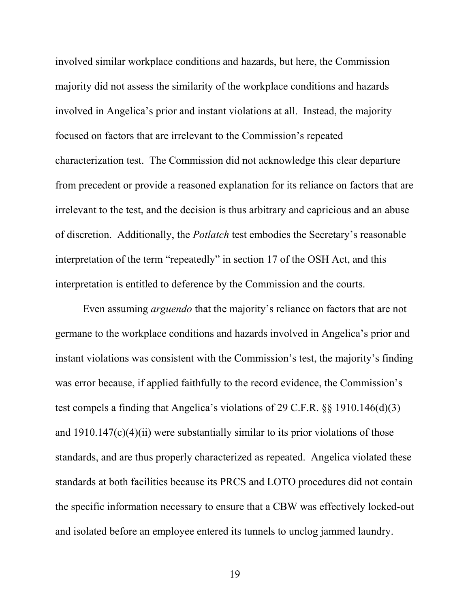involved similar workplace conditions and hazards, but here, the Commission majority did not assess the similarity of the workplace conditions and hazards involved in Angelica's prior and instant violations at all. Instead, the majority focused on factors that are irrelevant to the Commission's repeated characterization test. The Commission did not acknowledge this clear departure from precedent or provide a reasoned explanation for its reliance on factors that are irrelevant to the test, and the decision is thus arbitrary and capricious and an abuse of discretion. Additionally, the *Potlatch* test embodies the Secretary's reasonable interpretation of the term "repeatedly" in section 17 of the OSH Act, and this interpretation is entitled to deference by the Commission and the courts.

Even assuming *arguendo* that the majority's reliance on factors that are not germane to the workplace conditions and hazards involved in Angelica's prior and instant violations was consistent with the Commission's test, the majority's finding was error because, if applied faithfully to the record evidence, the Commission's test compels a finding that Angelica's violations of 29 C.F.R. §§ 1910.146(d)(3) and 1910.147(c)(4)(ii) were substantially similar to its prior violations of those standards, and are thus properly characterized as repeated. Angelica violated these standards at both facilities because its PRCS and LOTO procedures did not contain the specific information necessary to ensure that a CBW was effectively locked-out and isolated before an employee entered its tunnels to unclog jammed laundry.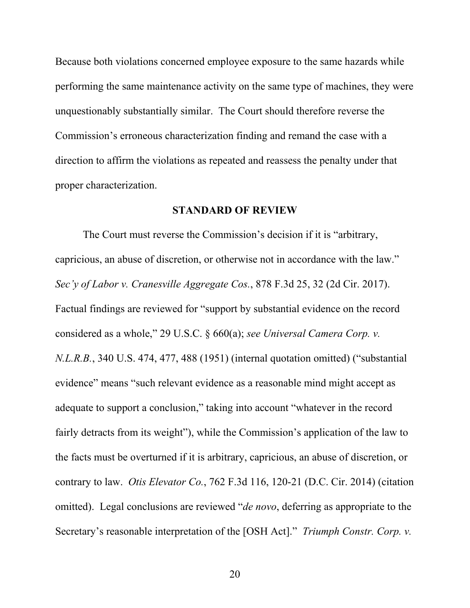<span id="page-29-0"></span>Because both violations concerned employee exposure to the same hazards while performing the same maintenance activity on the same type of machines, they were unquestionably substantially similar. The Court should therefore reverse the Commission's erroneous characterization finding and remand the case with a direction to affirm the violations as repeated and reassess the penalty under that proper characterization.

#### **STANDARD OF REVIEW**

The Court must reverse the Commission's decision if it is "arbitrary, capricious, an abuse of discretion, or otherwise not in accordance with the law." *Sec'y of Labor v. Cranesville Aggregate Cos.*, 878 F.3d 25, 32 (2d Cir. 2017). Factual findings are reviewed for "support by substantial evidence on the record considered as a whole," 29 U.S.C. § 660(a); *see Universal Camera Corp. v. N.L.R.B.*, 340 U.S. 474, 477, 488 (1951) (internal quotation omitted) ("substantial evidence" means "such relevant evidence as a reasonable mind might accept as adequate to support a conclusion," taking into account "whatever in the record fairly detracts from its weight"), while the Commission's application of the law to the facts must be overturned if it is arbitrary, capricious, an abuse of discretion, or contrary to law. *Otis Elevator Co.*, 762 F.3d 116, 120-21 (D.C. Cir. 2014) (citation omitted). Legal conclusions are reviewed "*de novo*, deferring as appropriate to the Secretary's reasonable interpretation of the [OSH Act]." *Triumph Constr. Corp. v.*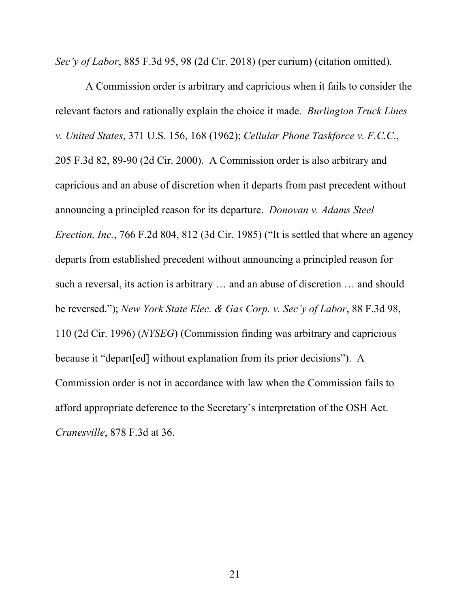*Sec'y of Labor*, 885 F.3d 95, 98 (2d Cir. 2018) (per curium) (citation omitted)*.*

A Commission order is arbitrary and capricious when it fails to consider the relevant factors and rationally explain the choice it made. *Burlington Truck Lines v. United States*, 371 U.S. 156, 168 (1962); *Cellular Phone Taskforce v. F.C.C*., 205 F.3d 82, 89-90 (2d Cir. 2000). A Commission order is also arbitrary and capricious and an abuse of discretion when it departs from past precedent without announcing a principled reason for its departure. *Donovan v. Adams Steel Erection, Inc.*, 766 F.2d 804, 812 (3d Cir. 1985) ("It is settled that where an agency departs from established precedent without announcing a principled reason for such a reversal, its action is arbitrary … and an abuse of discretion … and should be reversed."); *New York State Elec. & Gas Corp. v. Sec'y of Labor*, 88 F.3d 98, 110 (2d Cir. 1996) (*NYSEG*) (Commission finding was arbitrary and capricious because it "depart[ed] without explanation from its prior decisions"). A Commission order is not in accordance with law when the Commission fails to afford appropriate deference to the Secretary's interpretation of the OSH Act. *Cranesville*, 878 F.3d at 36.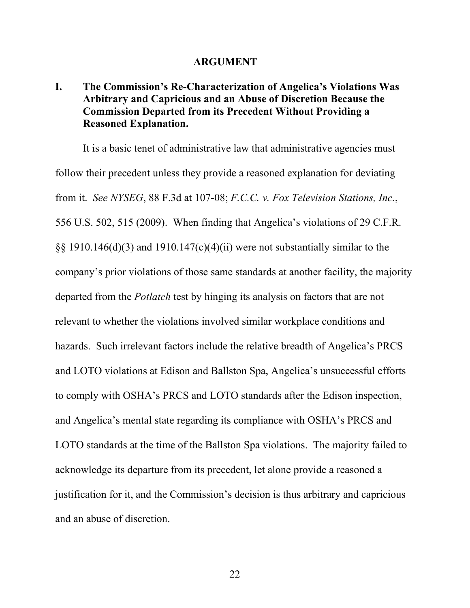#### **ARGUMENT**

# <span id="page-31-0"></span>**I. The Commission's Re-Characterization of Angelica's Violations Was Arbitrary and Capricious and an Abuse of Discretion Because the Commission Departed from its Precedent Without Providing a Reasoned Explanation.**

It is a basic tenet of administrative law that administrative agencies must follow their precedent unless they provide a reasoned explanation for deviating from it. *See NYSEG*, 88 F.3d at 107-08; *F.C.C. v. Fox Television Stations, Inc.*, 556 U.S. 502, 515 (2009). When finding that Angelica's violations of 29 C.F.R. §§ 1910.146(d)(3) and 1910.147(c)(4)(ii) were not substantially similar to the company's prior violations of those same standards at another facility, the majority departed from the *Potlatch* test by hinging its analysis on factors that are not relevant to whether the violations involved similar workplace conditions and hazards. Such irrelevant factors include the relative breadth of Angelica's PRCS and LOTO violations at Edison and Ballston Spa, Angelica's unsuccessful efforts to comply with OSHA's PRCS and LOTO standards after the Edison inspection, and Angelica's mental state regarding its compliance with OSHA's PRCS and LOTO standards at the time of the Ballston Spa violations. The majority failed to acknowledge its departure from its precedent, let alone provide a reasoned a justification for it, and the Commission's decision is thus arbitrary and capricious and an abuse of discretion.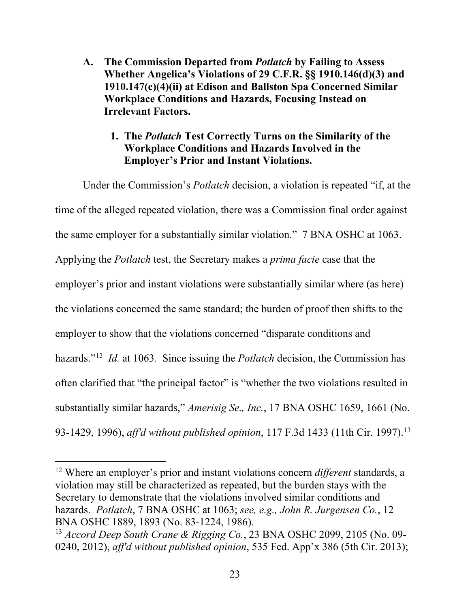- <span id="page-32-0"></span>**A. The Commission Departed from** *Potlatch* **by Failing to Assess Whether Angelica's Violations of 29 C.F.R. §§ 1910.146(d)(3) and 1910.147(c)(4)(ii) at Edison and Ballston Spa Concerned Similar Workplace Conditions and Hazards, Focusing Instead on Irrelevant Factors.**
	- **1. The** *Potlatch* **Test Correctly Turns on the Similarity of the Workplace Conditions and Hazards Involved in the Employer's Prior and Instant Violations.**

Under the Commission's *Potlatch* decision, a violation is repeated "if, at the time of the alleged repeated violation, there was a Commission final order against the same employer for a substantially similar violation." 7 BNA OSHC at 1063. Applying the *Potlatch* test, the Secretary makes a *prima facie* case that the employer's prior and instant violations were substantially similar where (as here) the violations concerned the same standard; the burden of proof then shifts to the employer to show that the violations concerned "disparate conditions and hazards."[12](#page-32-1) *Id.* at 1063*.* Since issuing the *Potlatch* decision, the Commission has often clarified that "the principal factor" is "whether the two violations resulted in substantially similar hazards," *Amerisig Se., Inc.*, 17 BNA OSHC 1659, 1661 (No. 93-1429, 1996), *aff'd without published opinion*, 117 F.3d 1433 (11th Cir. 1997). [13](#page-32-2)

 $\overline{a}$ 

<span id="page-32-1"></span><sup>12</sup> Where an employer's prior and instant violations concern *different* standards, a violation may still be characterized as repeated, but the burden stays with the Secretary to demonstrate that the violations involved similar conditions and hazards. *Potlatch*, 7 BNA OSHC at 1063; *see, e.g., John R. Jurgensen Co.*, 12 BNA OSHC 1889, 1893 (No. 83-1224, 1986). 13 *Accord Deep South Crane & Rigging Co.*, 23 BNA OSHC 2099, 2105 (No. 09-

<span id="page-32-2"></span><sup>0240, 2012),</sup> *aff'd without published opinion*, 535 Fed. App'x 386 (5th Cir. 2013);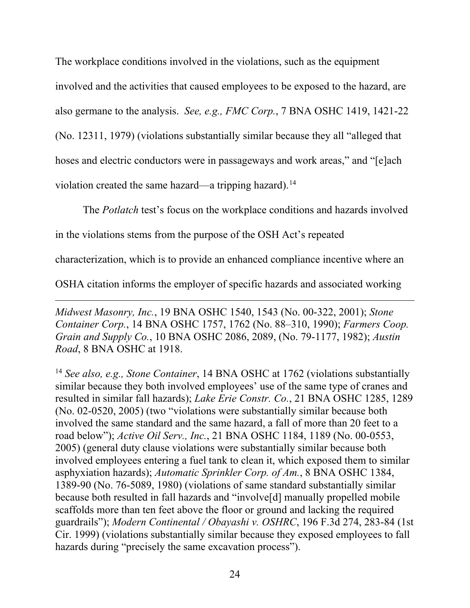The workplace conditions involved in the violations, such as the equipment involved and the activities that caused employees to be exposed to the hazard, are also germane to the analysis. *See, e.g., FMC Corp.*, 7 BNA OSHC 1419, 1421-22 (No. 12311, 1979) (violations substantially similar because they all "alleged that hoses and electric conductors were in passageways and work areas," and "[e]ach violation created the same hazard—a tripping hazard).<sup>14</sup>

The *Potlatch* test's focus on the workplace conditions and hazards involved

in the violations stems from the purpose of the OSH Act's repeated

characterization, which is to provide an enhanced compliance incentive where an

OSHA citation informs the employer of specific hazards and associated working

 $\overline{a}$ *Midwest Masonry, Inc.*, 19 BNA OSHC 1540, 1543 (No. 00-322, 2001); *Stone Container Corp.*, 14 BNA OSHC 1757, 1762 (No. 88–310, 1990); *Farmers Coop. Grain and Supply Co.*, 10 BNA OSHC 2086, 2089, (No. 79-1177, 1982); *Austin Road*, 8 BNA OSHC at 1918.

<span id="page-33-0"></span><sup>14</sup> *See also, e.g., Stone Container*, 14 BNA OSHC at 1762 (violations substantially similar because they both involved employees' use of the same type of cranes and resulted in similar fall hazards); *Lake Erie Constr. Co.*, 21 BNA OSHC 1285, 1289 (No. 02-0520, 2005) (two "violations were substantially similar because both involved the same standard and the same hazard, a fall of more than 20 feet to a road below"); *Active Oil Serv., Inc.*, 21 BNA OSHC 1184, 1189 (No. 00-0553, 2005) (general duty clause violations were substantially similar because both involved employees entering a fuel tank to clean it, which exposed them to similar asphyxiation hazards); *Automatic Sprinkler Corp. of Am.*, 8 BNA OSHC 1384, 1389-90 (No. 76-5089, 1980) (violations of same standard substantially similar because both resulted in fall hazards and "involve[d] manually propelled mobile scaffolds more than ten feet above the floor or ground and lacking the required guardrails"); *Modern Continental / Obayashi v. OSHRC*, 196 F.3d 274, 283-84 (1st Cir. 1999) (violations substantially similar because they exposed employees to fall hazards during "precisely the same excavation process").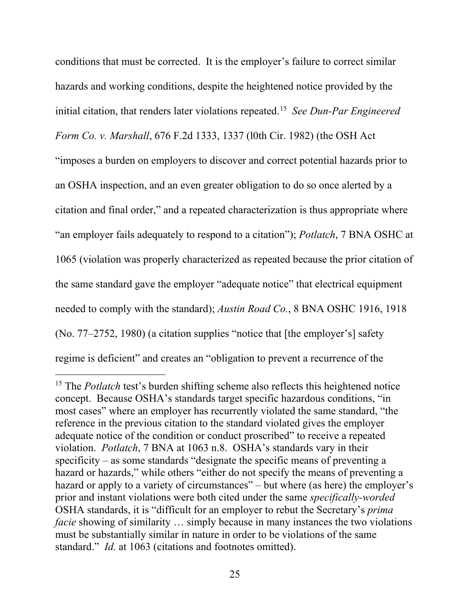conditions that must be corrected. It is the employer's failure to correct similar hazards and working conditions, despite the heightened notice provided by the initial citation, that renders later violations repeated. [15](#page-34-0) *See Dun-Par Engineered Form Co. v. Marshall*, 676 F.2d 1333, 1337 (l0th Cir. 1982) (the OSH Act "imposes a burden on employers to discover and correct potential hazards prior to an OSHA inspection, and an even greater obligation to do so once alerted by a citation and final order," and a repeated characterization is thus appropriate where "an employer fails adequately to respond to a citation"); *Potlatch*, 7 BNA OSHC at 1065 (violation was properly characterized as repeated because the prior citation of the same standard gave the employer "adequate notice" that electrical equipment needed to comply with the standard); *Austin Road Co.*, 8 BNA OSHC 1916, 1918 (No. 77–2752, 1980) (a citation supplies "notice that [the employer's] safety regime is deficient" and creates an "obligation to prevent a recurrence of the

 $\overline{a}$ 

<span id="page-34-0"></span><sup>&</sup>lt;sup>15</sup> The *Potlatch* test's burden shifting scheme also reflects this heightened notice concept. Because OSHA's standards target specific hazardous conditions, "in most cases" where an employer has recurrently violated the same standard, "the reference in the previous citation to the standard violated gives the employer adequate notice of the condition or conduct proscribed" to receive a repeated violation. *Potlatch*, 7 BNA at 1063 n.8. OSHA's standards vary in their specificity – as some standards "designate the specific means of preventing a hazard or hazards," while others "either do not specify the means of preventing a hazard or apply to a variety of circumstances" – but where (as here) the employer's prior and instant violations were both cited under the same *specifically-worded* OSHA standards, it is "difficult for an employer to rebut the Secretary's *prima facie* showing of similarity ... simply because in many instances the two violations must be substantially similar in nature in order to be violations of the same standard." *Id.* at 1063 (citations and footnotes omitted).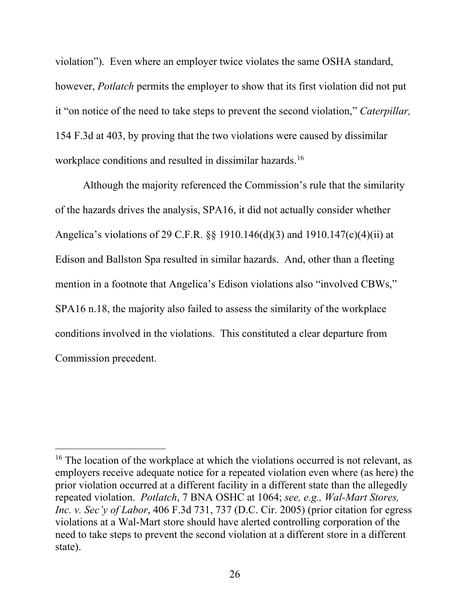violation"). Even where an employer twice violates the same OSHA standard, however, *Potlatch* permits the employer to show that its first violation did not put it "on notice of the need to take steps to prevent the second violation," *Caterpillar,*  154 F.3d at 403, by proving that the two violations were caused by dissimilar workplace conditions and resulted in dissimilar hazards.<sup>[16](#page-35-0)</sup>

Although the majority referenced the Commission's rule that the similarity of the hazards drives the analysis, SPA16, it did not actually consider whether Angelica's violations of 29 C.F.R. §§ 1910.146(d)(3) and 1910.147(c)(4)(ii) at Edison and Ballston Spa resulted in similar hazards. And, other than a fleeting mention in a footnote that Angelica's Edison violations also "involved CBWs," SPA16 n.18, the majority also failed to assess the similarity of the workplace conditions involved in the violations. This constituted a clear departure from Commission precedent.

 $\overline{a}$ 

<span id="page-35-0"></span><sup>&</sup>lt;sup>16</sup> The location of the workplace at which the violations occurred is not relevant, as employers receive adequate notice for a repeated violation even where (as here) the prior violation occurred at a different facility in a different state than the allegedly repeated violation. *Potlatch*, 7 BNA OSHC at 1064; *see, e.g., Wal-Mart Stores, Inc. v. Sec'y of Labor*, 406 F.3d 731, 737 (D.C. Cir. 2005) (prior citation for egress violations at a Wal-Mart store should have alerted controlling corporation of the need to take steps to prevent the second violation at a different store in a different state).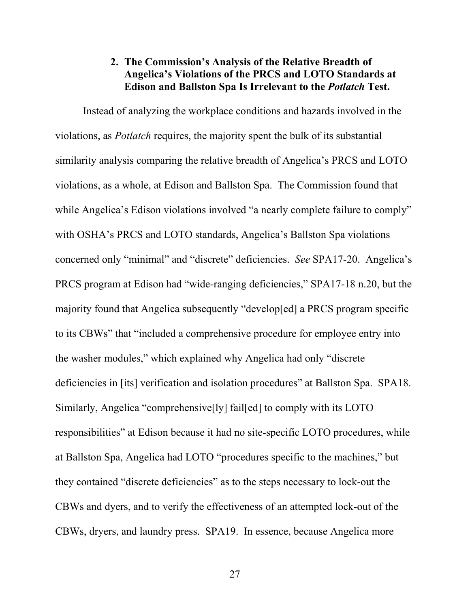#### **2. The Commission's Analysis of the Relative Breadth of Angelica's Violations of the PRCS and LOTO Standards at Edison and Ballston Spa Is Irrelevant to the** *Potlatch* **Test.**

<span id="page-36-0"></span>Instead of analyzing the workplace conditions and hazards involved in the violations, as *Potlatch* requires, the majority spent the bulk of its substantial similarity analysis comparing the relative breadth of Angelica's PRCS and LOTO violations, as a whole, at Edison and Ballston Spa. The Commission found that while Angelica's Edison violations involved "a nearly complete failure to comply" with OSHA's PRCS and LOTO standards, Angelica's Ballston Spa violations concerned only "minimal" and "discrete" deficiencies. *See* SPA17-20. Angelica's PRCS program at Edison had "wide-ranging deficiencies," SPA17-18 n.20, but the majority found that Angelica subsequently "develop[ed] a PRCS program specific to its CBWs" that "included a comprehensive procedure for employee entry into the washer modules," which explained why Angelica had only "discrete deficiencies in [its] verification and isolation procedures" at Ballston Spa. SPA18. Similarly, Angelica "comprehensive[ly] fail[ed] to comply with its LOTO responsibilities" at Edison because it had no site-specific LOTO procedures, while at Ballston Spa, Angelica had LOTO "procedures specific to the machines," but they contained "discrete deficiencies" as to the steps necessary to lock-out the CBWs and dyers, and to verify the effectiveness of an attempted lock-out of the CBWs, dryers, and laundry press. SPA19. In essence, because Angelica more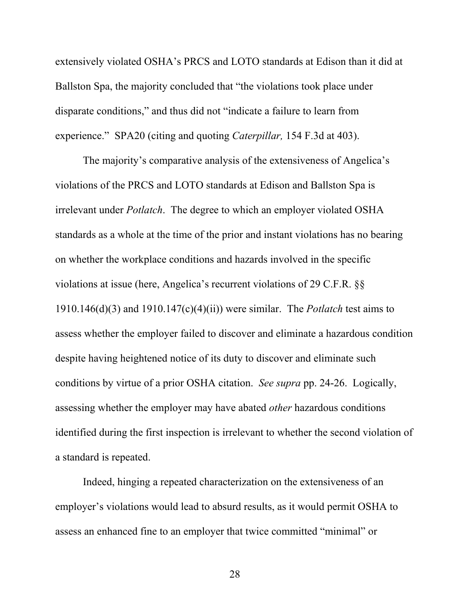extensively violated OSHA's PRCS and LOTO standards at Edison than it did at Ballston Spa, the majority concluded that "the violations took place under disparate conditions," and thus did not "indicate a failure to learn from experience." SPA20 (citing and quoting *Caterpillar,* 154 F.3d at 403).

The majority's comparative analysis of the extensiveness of Angelica's violations of the PRCS and LOTO standards at Edison and Ballston Spa is irrelevant under *Potlatch*. The degree to which an employer violated OSHA standards as a whole at the time of the prior and instant violations has no bearing on whether the workplace conditions and hazards involved in the specific violations at issue (here, Angelica's recurrent violations of 29 C.F.R. §§ 1910.146(d)(3) and 1910.147(c)(4)(ii)) were similar. The *Potlatch* test aims to assess whether the employer failed to discover and eliminate a hazardous condition despite having heightened notice of its duty to discover and eliminate such conditions by virtue of a prior OSHA citation. *See supra* pp. 24-26. Logically, assessing whether the employer may have abated *other* hazardous conditions identified during the first inspection is irrelevant to whether the second violation of a standard is repeated.

Indeed, hinging a repeated characterization on the extensiveness of an employer's violations would lead to absurd results, as it would permit OSHA to assess an enhanced fine to an employer that twice committed "minimal" or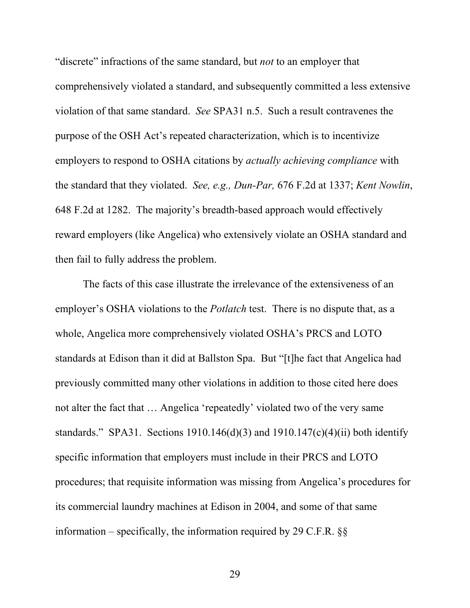"discrete" infractions of the same standard, but *not* to an employer that comprehensively violated a standard, and subsequently committed a less extensive violation of that same standard. *See* SPA31 n.5. Such a result contravenes the purpose of the OSH Act's repeated characterization, which is to incentivize employers to respond to OSHA citations by *actually achieving compliance* with the standard that they violated. *See, e.g., Dun-Par,* 676 F.2d at 1337; *Kent Nowlin*, 648 F.2d at 1282. The majority's breadth-based approach would effectively reward employers (like Angelica) who extensively violate an OSHA standard and then fail to fully address the problem.

The facts of this case illustrate the irrelevance of the extensiveness of an employer's OSHA violations to the *Potlatch* test. There is no dispute that, as a whole, Angelica more comprehensively violated OSHA's PRCS and LOTO standards at Edison than it did at Ballston Spa. But "[t]he fact that Angelica had previously committed many other violations in addition to those cited here does not alter the fact that … Angelica 'repeatedly' violated two of the very same standards." SPA31. Sections 1910.146(d)(3) and 1910.147(c)(4)(ii) both identify specific information that employers must include in their PRCS and LOTO procedures; that requisite information was missing from Angelica's procedures for its commercial laundry machines at Edison in 2004, and some of that same information – specifically, the information required by 29 C.F.R.  $\S$ §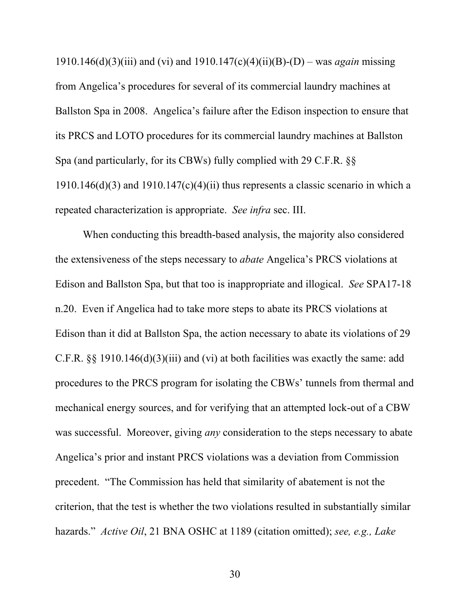1910.146(d)(3)(iii) and (vi) and 1910.147(c)(4)(ii)(B)-(D) – was *again* missing from Angelica's procedures for several of its commercial laundry machines at Ballston Spa in 2008. Angelica's failure after the Edison inspection to ensure that its PRCS and LOTO procedures for its commercial laundry machines at Ballston Spa (and particularly, for its CBWs) fully complied with 29 C.F.R. §§  $1910.146(d)(3)$  and  $1910.147(c)(4)(ii)$  thus represents a classic scenario in which a repeated characterization is appropriate. *See infra* sec. III.

When conducting this breadth-based analysis, the majority also considered the extensiveness of the steps necessary to *abate* Angelica's PRCS violations at Edison and Ballston Spa, but that too is inappropriate and illogical. *See* SPA17-18 n.20. Even if Angelica had to take more steps to abate its PRCS violations at Edison than it did at Ballston Spa, the action necessary to abate its violations of 29 C.F.R. §§ 1910.146(d)(3)(iii) and (vi) at both facilities was exactly the same: add procedures to the PRCS program for isolating the CBWs' tunnels from thermal and mechanical energy sources, and for verifying that an attempted lock-out of a CBW was successful. Moreover, giving *any* consideration to the steps necessary to abate Angelica's prior and instant PRCS violations was a deviation from Commission precedent. "The Commission has held that similarity of abatement is not the criterion, that the test is whether the two violations resulted in substantially similar hazards." *Active Oil*, 21 BNA OSHC at 1189 (citation omitted); *see, e.g., Lake*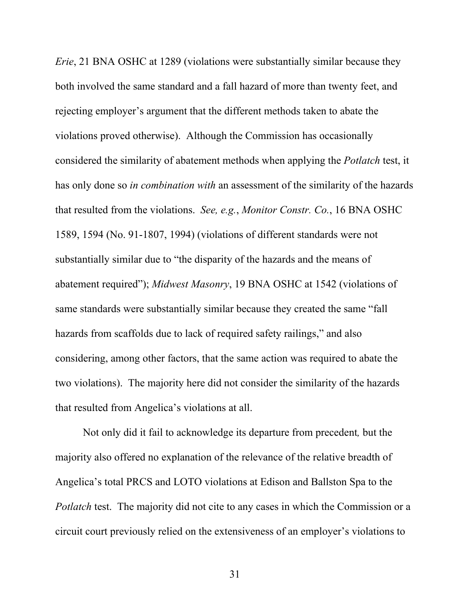*Erie*, 21 BNA OSHC at 1289 (violations were substantially similar because they both involved the same standard and a fall hazard of more than twenty feet, and rejecting employer's argument that the different methods taken to abate the violations proved otherwise). Although the Commission has occasionally considered the similarity of abatement methods when applying the *Potlatch* test, it has only done so *in combination with* an assessment of the similarity of the hazards that resulted from the violations. *See, e.g.*, *Monitor Constr. Co.*, 16 BNA OSHC 1589, 1594 (No. 91-1807, 1994) (violations of different standards were not substantially similar due to "the disparity of the hazards and the means of abatement required"); *Midwest Masonry*, 19 BNA OSHC at 1542 (violations of same standards were substantially similar because they created the same "fall hazards from scaffolds due to lack of required safety railings," and also considering, among other factors, that the same action was required to abate the two violations). The majority here did not consider the similarity of the hazards that resulted from Angelica's violations at all.

Not only did it fail to acknowledge its departure from precedent*,* but the majority also offered no explanation of the relevance of the relative breadth of Angelica's total PRCS and LOTO violations at Edison and Ballston Spa to the *Potlatch* test. The majority did not cite to any cases in which the Commission or a circuit court previously relied on the extensiveness of an employer's violations to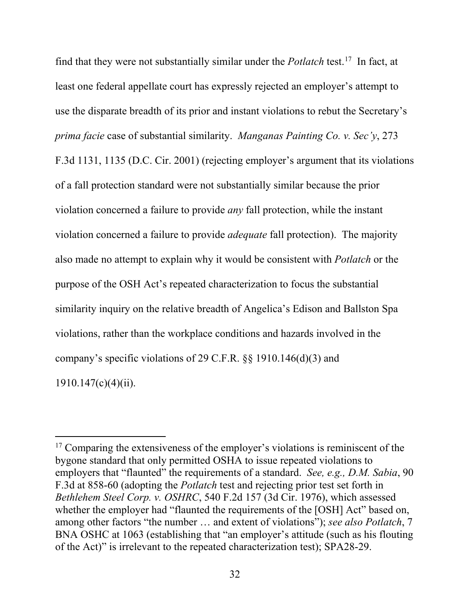find that they were not substantially similar under the *Potlatch* test. [17](#page-41-0) In fact, at least one federal appellate court has expressly rejected an employer's attempt to use the disparate breadth of its prior and instant violations to rebut the Secretary's *prima facie* case of substantial similarity. *Manganas Painting Co. v. Sec'y*, 273 F.3d 1131, 1135 (D.C. Cir. 2001) (rejecting employer's argument that its violations of a fall protection standard were not substantially similar because the prior violation concerned a failure to provide *any* fall protection, while the instant violation concerned a failure to provide *adequate* fall protection). The majority also made no attempt to explain why it would be consistent with *Potlatch* or the purpose of the OSH Act's repeated characterization to focus the substantial similarity inquiry on the relative breadth of Angelica's Edison and Ballston Spa violations, rather than the workplace conditions and hazards involved in the company's specific violations of 29 C.F.R. §§ 1910.146(d)(3) and  $1910.147(c)(4)(ii)$ .

 $\overline{a}$ 

<span id="page-41-0"></span> $17$  Comparing the extensiveness of the employer's violations is reminiscent of the bygone standard that only permitted OSHA to issue repeated violations to employers that "flaunted" the requirements of a standard. *See, e.g., D.M. Sabia*, 90 F.3d at 858-60 (adopting the *Potlatch* test and rejecting prior test set forth in *Bethlehem Steel Corp. v. OSHRC*, 540 F.2d 157 (3d Cir. 1976), which assessed whether the employer had "flaunted the requirements of the [OSH] Act" based on, among other factors "the number … and extent of violations"); *see also Potlatch*, 7 BNA OSHC at 1063 (establishing that "an employer's attitude (such as his flouting of the Act)" is irrelevant to the repeated characterization test); SPA28-29.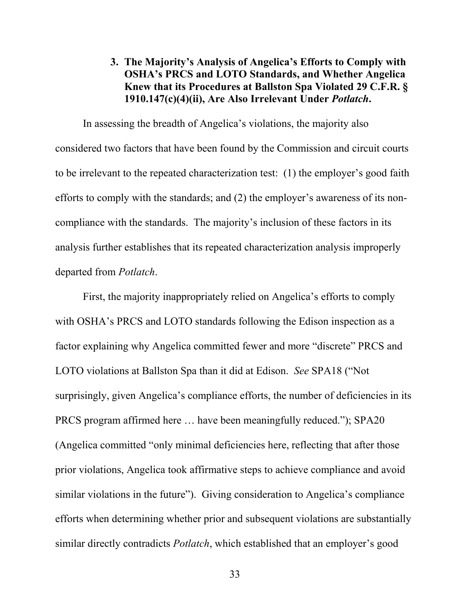# <span id="page-42-0"></span>**3. The Majority's Analysis of Angelica's Efforts to Comply with OSHA's PRCS and LOTO Standards, and Whether Angelica Knew that its Procedures at Ballston Spa Violated 29 C.F.R. § 1910.147(c)(4)(ii), Are Also Irrelevant Under** *Potlatch***.**

In assessing the breadth of Angelica's violations, the majority also considered two factors that have been found by the Commission and circuit courts to be irrelevant to the repeated characterization test: (1) the employer's good faith efforts to comply with the standards; and (2) the employer's awareness of its noncompliance with the standards. The majority's inclusion of these factors in its analysis further establishes that its repeated characterization analysis improperly departed from *Potlatch*.

First, the majority inappropriately relied on Angelica's efforts to comply with OSHA's PRCS and LOTO standards following the Edison inspection as a factor explaining why Angelica committed fewer and more "discrete" PRCS and LOTO violations at Ballston Spa than it did at Edison. *See* SPA18 ("Not surprisingly, given Angelica's compliance efforts, the number of deficiencies in its PRCS program affirmed here … have been meaningfully reduced."); SPA20 (Angelica committed "only minimal deficiencies here, reflecting that after those prior violations, Angelica took affirmative steps to achieve compliance and avoid similar violations in the future"). Giving consideration to Angelica's compliance efforts when determining whether prior and subsequent violations are substantially similar directly contradicts *Potlatch*, which established that an employer's good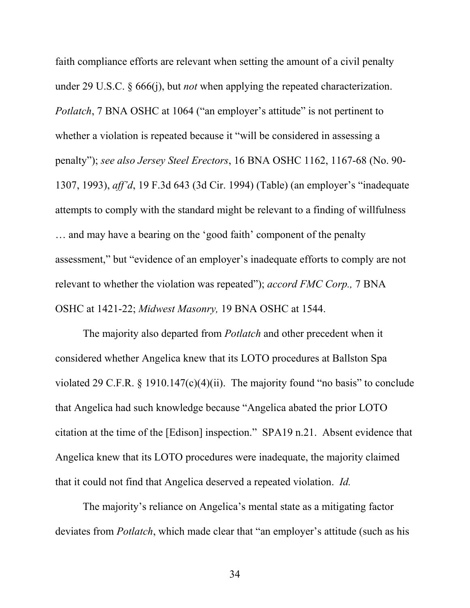faith compliance efforts are relevant when setting the amount of a civil penalty under 29 U.S.C. § 666(j), but *not* when applying the repeated characterization. *Potlatch*, 7 BNA OSHC at 1064 ("an employer's attitude" is not pertinent to whether a violation is repeated because it "will be considered in assessing a penalty"); *see also Jersey Steel Erectors*, 16 BNA OSHC 1162, 1167-68 (No. 90- 1307, 1993), *aff'd*, 19 F.3d 643 (3d Cir. 1994) (Table) (an employer's "inadequate attempts to comply with the standard might be relevant to a finding of willfulness … and may have a bearing on the 'good faith' component of the penalty assessment," but "evidence of an employer's inadequate efforts to comply are not relevant to whether the violation was repeated"); *accord FMC Corp.,* 7 BNA OSHC at 1421-22; *Midwest Masonry,* 19 BNA OSHC at 1544.

The majority also departed from *Potlatch* and other precedent when it considered whether Angelica knew that its LOTO procedures at Ballston Spa violated 29 C.F.R. § 1910.147 $(c)(4)(ii)$ . The majority found "no basis" to conclude that Angelica had such knowledge because "Angelica abated the prior LOTO citation at the time of the [Edison] inspection." SPA19 n.21. Absent evidence that Angelica knew that its LOTO procedures were inadequate, the majority claimed that it could not find that Angelica deserved a repeated violation. *Id.* 

The majority's reliance on Angelica's mental state as a mitigating factor deviates from *Potlatch*, which made clear that "an employer's attitude (such as his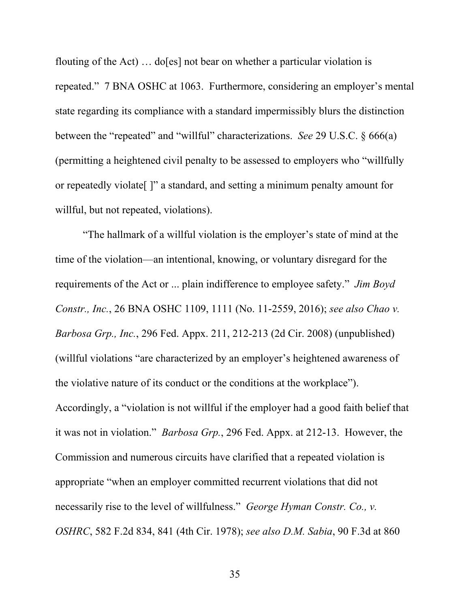flouting of the Act) … do[es] not bear on whether a particular violation is repeated." 7 BNA OSHC at 1063. Furthermore, considering an employer's mental state regarding its compliance with a standard impermissibly blurs the distinction between the "repeated" and "willful" characterizations. *See* 29 U.S.C. § 666(a) (permitting a heightened civil penalty to be assessed to employers who "willfully or repeatedly violate[ ]" a standard, and setting a minimum penalty amount for willful, but not repeated, violations).

"The hallmark of a willful violation is the employer's state of mind at the time of the violation—an intentional, knowing, or voluntary disregard for the requirements of the Act or ... plain indifference to employee safety." *Jim Boyd Constr., Inc.*, 26 BNA OSHC 1109, 1111 (No. 11-2559, 2016); *see also Chao v. Barbosa Grp., Inc.*, 296 Fed. Appx. 211, 212-213 (2d Cir. 2008) (unpublished) (willful violations "are characterized by an employer's heightened awareness of the violative nature of its conduct or the conditions at the workplace"). Accordingly, a "violation is not willful if the employer had a good faith belief that it was not in violation." *Barbosa Grp.*, 296 Fed. Appx. at 212-13. However, the Commission and numerous circuits have clarified that a repeated violation is appropriate "when an employer committed recurrent violations that did not necessarily rise to the level of willfulness." *George Hyman Constr. Co., v. OSHRC*, 582 F.2d 834, 841 (4th Cir. 1978); *see also D.M. Sabia*, 90 F.3d at 860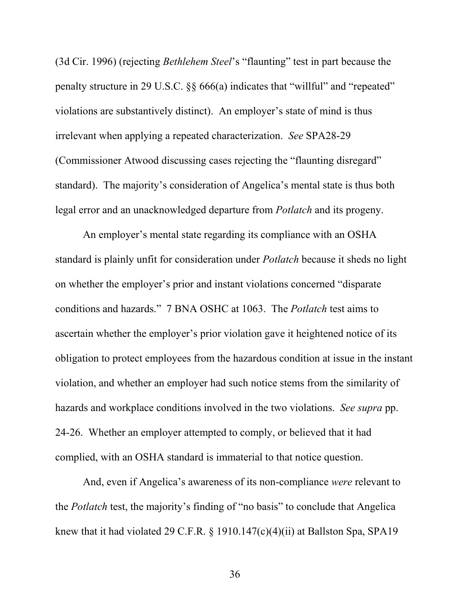(3d Cir. 1996) (rejecting *Bethlehem Steel*'s "flaunting" test in part because the penalty structure in 29 U.S.C. §§ 666(a) indicates that "willful" and "repeated" violations are substantively distinct). An employer's state of mind is thus irrelevant when applying a repeated characterization. *See* SPA28-29 (Commissioner Atwood discussing cases rejecting the "flaunting disregard" standard). The majority's consideration of Angelica's mental state is thus both legal error and an unacknowledged departure from *Potlatch* and its progeny.

An employer's mental state regarding its compliance with an OSHA standard is plainly unfit for consideration under *Potlatch* because it sheds no light on whether the employer's prior and instant violations concerned "disparate conditions and hazards." 7 BNA OSHC at 1063. The *Potlatch* test aims to ascertain whether the employer's prior violation gave it heightened notice of its obligation to protect employees from the hazardous condition at issue in the instant violation, and whether an employer had such notice stems from the similarity of hazards and workplace conditions involved in the two violations. *See supra* pp. 24-26. Whether an employer attempted to comply, or believed that it had complied, with an OSHA standard is immaterial to that notice question.

And, even if Angelica's awareness of its non-compliance *were* relevant to the *Potlatch* test, the majority's finding of "no basis" to conclude that Angelica knew that it had violated 29 C.F.R. § 1910.147(c)(4)(ii) at Ballston Spa, SPA19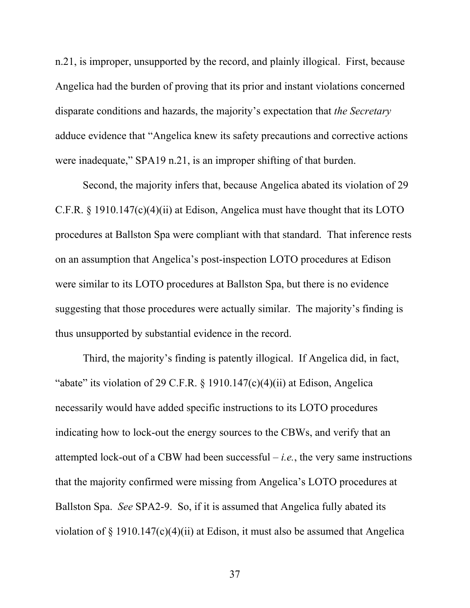n.21, is improper, unsupported by the record, and plainly illogical. First, because Angelica had the burden of proving that its prior and instant violations concerned disparate conditions and hazards, the majority's expectation that *the Secretary* adduce evidence that "Angelica knew its safety precautions and corrective actions were inadequate," SPA19 n.21, is an improper shifting of that burden.

Second, the majority infers that, because Angelica abated its violation of 29 C.F.R. § 1910.147(c)(4)(ii) at Edison, Angelica must have thought that its LOTO procedures at Ballston Spa were compliant with that standard. That inference rests on an assumption that Angelica's post-inspection LOTO procedures at Edison were similar to its LOTO procedures at Ballston Spa, but there is no evidence suggesting that those procedures were actually similar. The majority's finding is thus unsupported by substantial evidence in the record.

Third, the majority's finding is patently illogical. If Angelica did, in fact, "abate" its violation of 29 C.F.R.  $\S$  1910.147(c)(4)(ii) at Edison, Angelica necessarily would have added specific instructions to its LOTO procedures indicating how to lock-out the energy sources to the CBWs, and verify that an attempted lock-out of a CBW had been successful  $-i.e.,$  the very same instructions that the majority confirmed were missing from Angelica's LOTO procedures at Ballston Spa. *See* SPA2-9. So, if it is assumed that Angelica fully abated its violation of  $\S$  1910.147(c)(4)(ii) at Edison, it must also be assumed that Angelica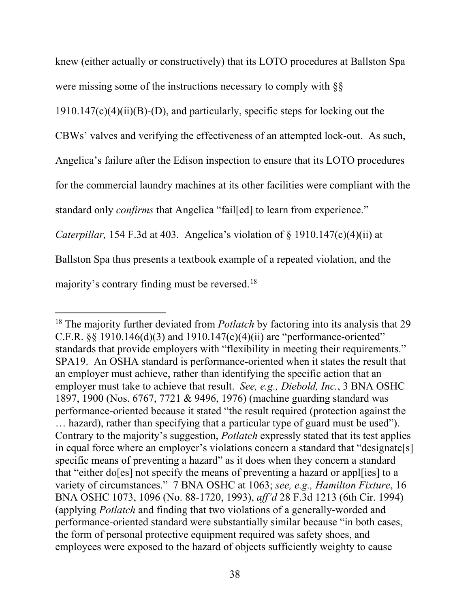knew (either actually or constructively) that its LOTO procedures at Ballston Spa

were missing some of the instructions necessary to comply with §§

 $1910.147(c)(4)(ii)(B)-(D)$ , and particularly, specific steps for locking out the

CBWs' valves and verifying the effectiveness of an attempted lock-out. As such,

Angelica's failure after the Edison inspection to ensure that its LOTO procedures

for the commercial laundry machines at its other facilities were compliant with the

standard only *confirms* that Angelica "fail[ed] to learn from experience."

*Caterpillar,* 154 F.3d at 403. Angelica's violation of § 1910.147(c)(4)(ii) at

Ballston Spa thus presents a textbook example of a repeated violation, and the

majority's contrary finding must be reversed. [18](#page-47-0) 

 $\overline{a}$ 

<span id="page-47-0"></span><sup>&</sup>lt;sup>18</sup> The majority further deviated from *Potlatch* by factoring into its analysis that 29 C.F.R.  $\S$  1910.146(d)(3) and 1910.147(c)(4)(ii) are "performance-oriented" standards that provide employers with "flexibility in meeting their requirements." SPA19. An OSHA standard is performance-oriented when it states the result that an employer must achieve, rather than identifying the specific action that an employer must take to achieve that result. *See, e.g., Diebold, Inc.*, 3 BNA OSHC 1897, 1900 (Nos. 6767, 7721 & 9496, 1976) (machine guarding standard was performance-oriented because it stated "the result required (protection against the … hazard), rather than specifying that a particular type of guard must be used"). Contrary to the majority's suggestion, *Potlatch* expressly stated that its test applies in equal force where an employer's violations concern a standard that "designate[s] specific means of preventing a hazard" as it does when they concern a standard that "either do[es] not specify the means of preventing a hazard or appl[ies] to a variety of circumstances." 7 BNA OSHC at 1063; *see, e.g., Hamilton Fixture*, 16 BNA OSHC 1073, 1096 (No. 88-1720, 1993), *aff'd* 28 F.3d 1213 (6th Cir. 1994) (applying *Potlatch* and finding that two violations of a generally-worded and performance-oriented standard were substantially similar because "in both cases, the form of personal protective equipment required was safety shoes, and employees were exposed to the hazard of objects sufficiently weighty to cause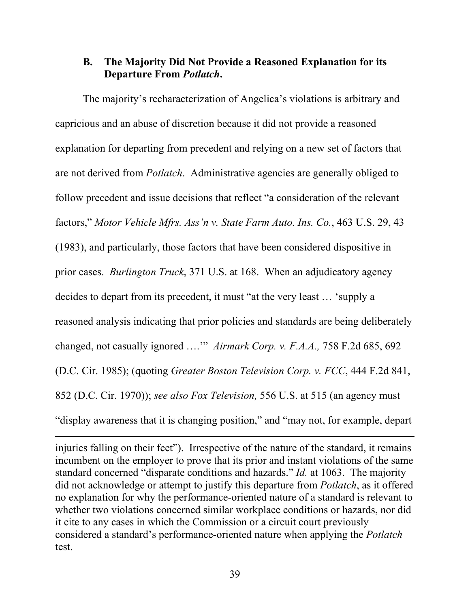#### <span id="page-48-0"></span>**B. The Majority Did Not Provide a Reasoned Explanation for its Departure From** *Potlatch***.**

The majority's recharacterization of Angelica's violations is arbitrary and capricious and an abuse of discretion because it did not provide a reasoned explanation for departing from precedent and relying on a new set of factors that are not derived from *Potlatch*. Administrative agencies are generally obliged to follow precedent and issue decisions that reflect "a consideration of the relevant factors," *Motor Vehicle Mfrs. Ass'n v. State Farm Auto. Ins. Co.*, 463 U.S. 29, 43 (1983), and particularly, those factors that have been considered dispositive in prior cases. *Burlington Truck*, 371 U.S. at 168. When an adjudicatory agency decides to depart from its precedent, it must "at the very least … 'supply a reasoned analysis indicating that prior policies and standards are being deliberately changed, not casually ignored ….'" *Airmark Corp. v. F.A.A.,* 758 F.2d 685, 692 (D.C. Cir. 1985); (quoting *Greater Boston Television Corp. v. FCC*, 444 F.2d 841, 852 (D.C. Cir. 1970)); *see also Fox Television,* 556 U.S. at 515 (an agency must "display awareness that it is changing position," and "may not, for example, depart

injuries falling on their feet"). Irrespective of the nature of the standard, it remains incumbent on the employer to prove that its prior and instant violations of the same standard concerned "disparate conditions and hazards." *Id.* at 1063. The majority did not acknowledge or attempt to justify this departure from *Potlatch*, as it offered no explanation for why the performance-oriented nature of a standard is relevant to whether two violations concerned similar workplace conditions or hazards, nor did it cite to any cases in which the Commission or a circuit court previously considered a standard's performance-oriented nature when applying the *Potlatch*  test.

 $\overline{a}$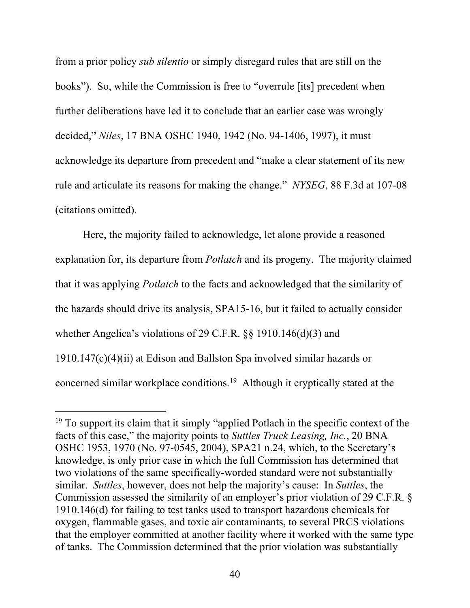from a prior policy *sub silentio* or simply disregard rules that are still on the books").So, while the Commission is free to "overrule [its] precedent when further deliberations have led it to conclude that an earlier case was wrongly decided," *Niles*, 17 BNA OSHC 1940, 1942 (No. 94-1406, 1997), it must acknowledge its departure from precedent and "make a clear statement of its new rule and articulate its reasons for making the change." *NYSEG*, 88 F.3d at 107-08 (citations omitted).

Here, the majority failed to acknowledge, let alone provide a reasoned explanation for, its departure from *Potlatch* and its progeny. The majority claimed that it was applying *Potlatch* to the facts and acknowledged that the similarity of the hazards should drive its analysis, SPA15-16, but it failed to actually consider whether Angelica's violations of 29 C.F.R. §§ 1910.146(d)(3) and 1910.147(c)(4)(ii) at Edison and Ballston Spa involved similar hazards or concerned similar workplace conditions. [19](#page-49-0) Although it cryptically stated at the

 $\ddot{\phantom{a}}$ 

<span id="page-49-0"></span><sup>&</sup>lt;sup>19</sup> To support its claim that it simply "applied Potlach in the specific context of the facts of this case," the majority points to *Suttles Truck Leasing, Inc.*, 20 BNA OSHC 1953, 1970 (No. 97-0545, 2004), SPA21 n.24, which, to the Secretary's knowledge, is only prior case in which the full Commission has determined that two violations of the same specifically-worded standard were not substantially similar. *Suttles*, however, does not help the majority's cause: In *Suttles*, the Commission assessed the similarity of an employer's prior violation of 29 C.F.R. § 1910.146(d) for failing to test tanks used to transport hazardous chemicals for oxygen, flammable gases, and toxic air contaminants, to several PRCS violations that the employer committed at another facility where it worked with the same type of tanks. The Commission determined that the prior violation was substantially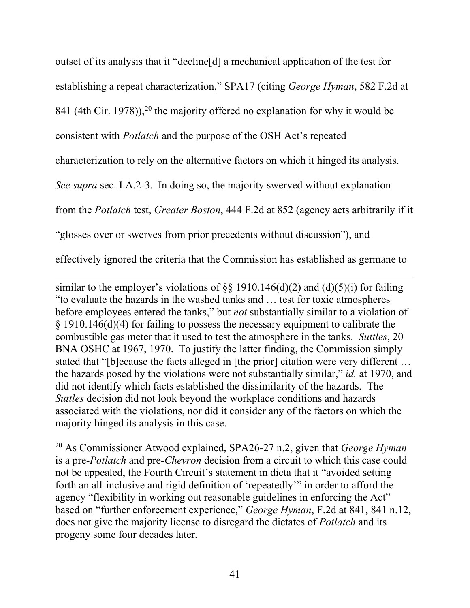outset of its analysis that it "decline[d] a mechanical application of the test for establishing a repeat characterization," SPA17 (citing *George Hyman*, 582 F.2d at 841 (4th Cir. 1978)),<sup>[20](#page-50-0)</sup> the majority offered no explanation for why it would be consistent with *Potlatch* and the purpose of the OSH Act's repeated characterization to rely on the alternative factors on which it hinged its analysis. *See supra* sec. I.A.2-3. In doing so, the majority swerved without explanation from the *Potlatch* test, *Greater Boston*, 444 F.2d at 852 (agency acts arbitrarily if it "glosses over or swerves from prior precedents without discussion"), and effectively ignored the criteria that the Commission has established as germane to

similar to the employer's violations of  $\S$ § 1910.146(d)(2) and (d)(5)(i) for failing "to evaluate the hazards in the washed tanks and … test for toxic atmospheres before employees entered the tanks," but *not* substantially similar to a violation of § 1910.146(d)(4) for failing to possess the necessary equipment to calibrate the combustible gas meter that it used to test the atmosphere in the tanks. *Suttles*, 20 BNA OSHC at 1967, 1970. To justify the latter finding, the Commission simply stated that "[b]ecause the facts alleged in [the prior] citation were very different … the hazards posed by the violations were not substantially similar," *id.* at 1970, and did not identify which facts established the dissimilarity of the hazards. The *Suttles* decision did not look beyond the workplace conditions and hazards associated with the violations, nor did it consider any of the factors on which the majority hinged its analysis in this case.

 $\overline{a}$ 

<span id="page-50-0"></span><sup>20</sup> As Commissioner Atwood explained, SPA26-27 n.2, given that *George Hyman* is a pre-*Potlatch* and pre-*Chevron* decision from a circuit to which this case could not be appealed, the Fourth Circuit's statement in dicta that it "avoided setting forth an all-inclusive and rigid definition of 'repeatedly'" in order to afford the agency "flexibility in working out reasonable guidelines in enforcing the Act" based on "further enforcement experience," *George Hyman*, F.2d at 841, 841 n.12, does not give the majority license to disregard the dictates of *Potlatch* and its progeny some four decades later.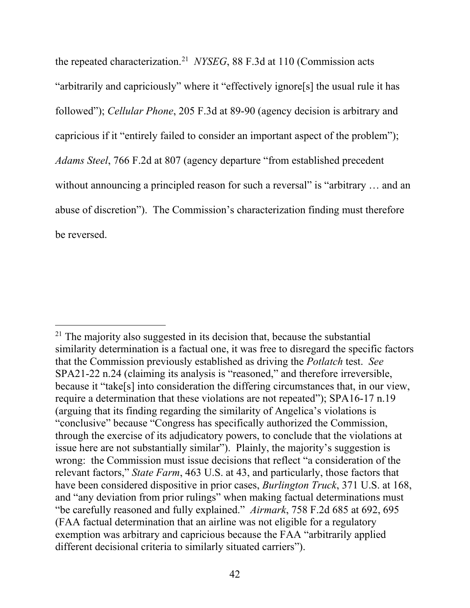the repeated characterization. [21](#page-51-0) *NYSEG*, 88 F.3d at 110 (Commission acts "arbitrarily and capriciously" where it "effectively ignore[s] the usual rule it has followed"); *Cellular Phone*, 205 F.3d at 89-90 (agency decision is arbitrary and capricious if it "entirely failed to consider an important aspect of the problem"); *Adams Steel*, 766 F.2d at 807 (agency departure "from established precedent without announcing a principled reason for such a reversal" is "arbitrary ... and an abuse of discretion"). The Commission's characterization finding must therefore be reversed.

<span id="page-51-0"></span> $\overline{a}$ <sup>21</sup> The majority also suggested in its decision that, because the substantial similarity determination is a factual one, it was free to disregard the specific factors that the Commission previously established as driving the *Potlatch* test. *See*  SPA21-22 n.24 (claiming its analysis is "reasoned," and therefore irreversible, because it "take[s] into consideration the differing circumstances that, in our view, require a determination that these violations are not repeated"); SPA16-17 n.19 (arguing that its finding regarding the similarity of Angelica's violations is "conclusive" because "Congress has specifically authorized the Commission, through the exercise of its adjudicatory powers, to conclude that the violations at issue here are not substantially similar"). Plainly, the majority's suggestion is wrong: the Commission must issue decisions that reflect "a consideration of the relevant factors," *State Farm*, 463 U.S. at 43, and particularly, those factors that have been considered dispositive in prior cases, *Burlington Truck*, 371 U.S. at 168, and "any deviation from prior rulings" when making factual determinations must "be carefully reasoned and fully explained." *Airmark*, 758 F.2d 685 at 692, 695 (FAA factual determination that an airline was not eligible for a regulatory exemption was arbitrary and capricious because the FAA "arbitrarily applied different decisional criteria to similarly situated carriers").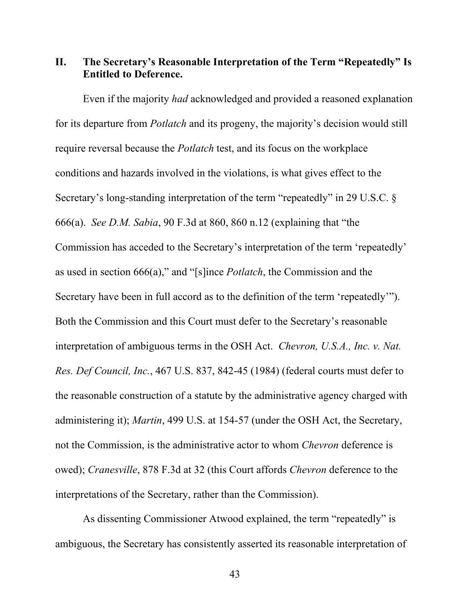#### <span id="page-52-0"></span>**II. The Secretary's Reasonable Interpretation of the Term "Repeatedly" Is Entitled to Deference.**

Even if the majority *had* acknowledged and provided a reasoned explanation for its departure from *Potlatch* and its progeny, the majority's decision would still require reversal because the *Potlatch* test, and its focus on the workplace conditions and hazards involved in the violations, is what gives effect to the Secretary's long-standing interpretation of the term "repeatedly" in 29 U.S.C. § 666(a). *See D.M. Sabia*, 90 F.3d at 860, 860 n.12 (explaining that "the Commission has acceded to the Secretary's interpretation of the term 'repeatedly' as used in section 666(a)," and "[s]ince *Potlatch*, the Commission and the Secretary have been in full accord as to the definition of the term 'repeatedly'"). Both the Commission and this Court must defer to the Secretary's reasonable interpretation of ambiguous terms in the OSH Act. *Chevron, U.S.A., Inc. v. Nat. Res. Def Council, Inc.*, 467 U.S. 837, 842-45 (1984) (federal courts must defer to the reasonable construction of a statute by the administrative agency charged with administering it); *Martin*, 499 U.S. at 154-57 (under the OSH Act, the Secretary, not the Commission, is the administrative actor to whom *Chevron* deference is owed); *Cranesville*, 878 F.3d at 32 (this Court affords *Chevron* deference to the interpretations of the Secretary, rather than the Commission).

As dissenting Commissioner Atwood explained, the term "repeatedly" is ambiguous, the Secretary has consistently asserted its reasonable interpretation of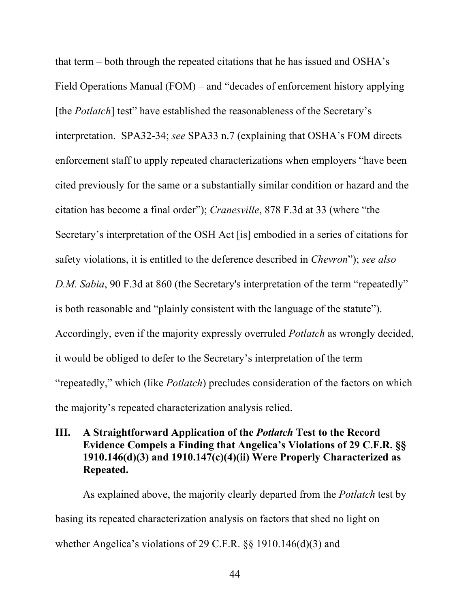<span id="page-53-0"></span>that term – both through the repeated citations that he has issued and OSHA's Field Operations Manual (FOM) – and "decades of enforcement history applying [the *Potlatch*] test" have established the reasonableness of the Secretary's interpretation. SPA32-34; *see* SPA33 n.7 (explaining that OSHA's FOM directs enforcement staff to apply repeated characterizations when employers "have been cited previously for the same or a substantially similar condition or hazard and the citation has become a final order"); *Cranesville*, 878 F.3d at 33 (where "the Secretary's interpretation of the OSH Act [is] embodied in a series of citations for safety violations, it is entitled to the deference described in *Chevron*"); *see also D.M. Sabia*, 90 F.3d at 860 (the Secretary's interpretation of the term "repeatedly" is both reasonable and "plainly consistent with the language of the statute"). Accordingly, even if the majority expressly overruled *Potlatch* as wrongly decided, it would be obliged to defer to the Secretary's interpretation of the term "repeatedly," which (like *Potlatch*) precludes consideration of the factors on which the majority's repeated characterization analysis relied.

# **III. A Straightforward Application of the** *Potlatch* **Test to the Record Evidence Compels a Finding that Angelica's Violations of 29 C.F.R. §§ 1910.146(d)(3) and 1910.147(c)(4)(ii) Were Properly Characterized as Repeated.**

As explained above, the majority clearly departed from the *Potlatch* test by basing its repeated characterization analysis on factors that shed no light on whether Angelica's violations of 29 C.F.R. §§ 1910.146(d)(3) and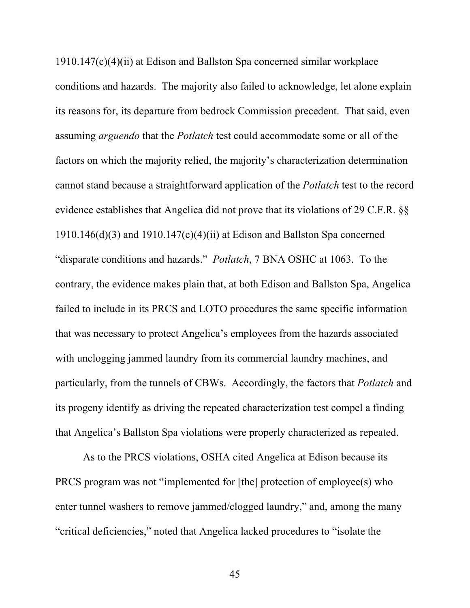1910.147(c)(4)(ii) at Edison and Ballston Spa concerned similar workplace conditions and hazards. The majority also failed to acknowledge, let alone explain its reasons for, its departure from bedrock Commission precedent. That said, even assuming *arguendo* that the *Potlatch* test could accommodate some or all of the factors on which the majority relied, the majority's characterization determination cannot stand because a straightforward application of the *Potlatch* test to the record evidence establishes that Angelica did not prove that its violations of 29 C.F.R. §§ 1910.146(d)(3) and 1910.147(c)(4)(ii) at Edison and Ballston Spa concerned "disparate conditions and hazards." *Potlatch*, 7 BNA OSHC at 1063. To the contrary, the evidence makes plain that, at both Edison and Ballston Spa, Angelica failed to include in its PRCS and LOTO procedures the same specific information that was necessary to protect Angelica's employees from the hazards associated with unclogging jammed laundry from its commercial laundry machines, and particularly, from the tunnels of CBWs. Accordingly, the factors that *Potlatch* and its progeny identify as driving the repeated characterization test compel a finding that Angelica's Ballston Spa violations were properly characterized as repeated.

As to the PRCS violations, OSHA cited Angelica at Edison because its PRCS program was not "implemented for [the] protection of employee(s) who enter tunnel washers to remove jammed/clogged laundry," and, among the many "critical deficiencies," noted that Angelica lacked procedures to "isolate the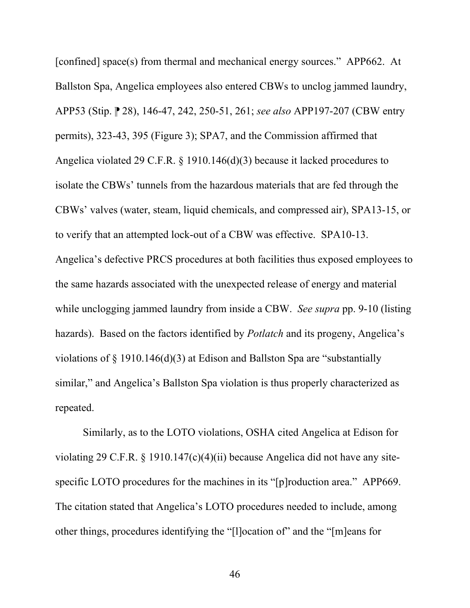[confined] space(s) from thermal and mechanical energy sources." APP662.At Ballston Spa, Angelica employees also entered CBWs to unclog jammed laundry, APP53 (Stip. ⁋ 28), 146-47, 242, 250-51, 261; *see also* APP197-207 (CBW entry permits), 323-43, 395 (Figure 3); SPA7, and the Commission affirmed that Angelica violated 29 C.F.R. § 1910.146(d)(3) because it lacked procedures to isolate the CBWs' tunnels from the hazardous materials that are fed through the CBWs' valves (water, steam, liquid chemicals, and compressed air), SPA13-15, or to verify that an attempted lock-out of a CBW was effective. SPA10-13. Angelica's defective PRCS procedures at both facilities thus exposed employees to the same hazards associated with the unexpected release of energy and material while unclogging jammed laundry from inside a CBW. *See supra* pp. 9-10 (listing hazards). Based on the factors identified by *Potlatch* and its progeny, Angelica's violations of § 1910.146(d)(3) at Edison and Ballston Spa are "substantially similar," and Angelica's Ballston Spa violation is thus properly characterized as repeated.

Similarly, as to the LOTO violations, OSHA cited Angelica at Edison for violating 29 C.F.R. § 1910.147(c)(4)(ii) because Angelica did not have any sitespecific LOTO procedures for the machines in its "[p]roduction area." APP669. The citation stated that Angelica's LOTO procedures needed to include, among other things, procedures identifying the "[l]ocation of" and the "[m]eans for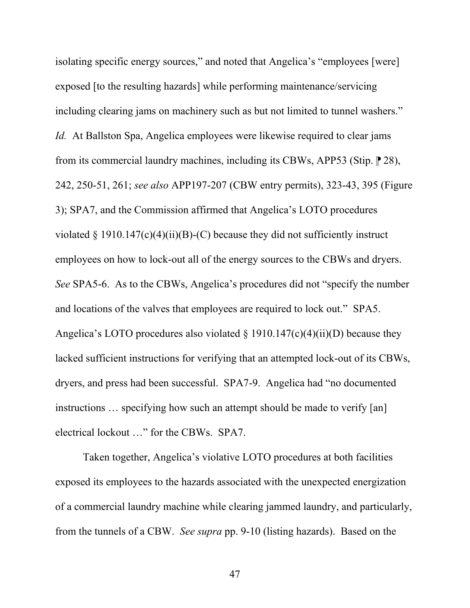isolating specific energy sources," and noted that Angelica's "employees [were] exposed [to the resulting hazards] while performing maintenance/servicing including clearing jams on machinery such as but not limited to tunnel washers." *Id.* At Ballston Spa, Angelica employees were likewise required to clear jams from its commercial laundry machines, including its CBWs, APP53 (Stip.  $\mathbb{P}$  28), 242, 250-51, 261; *see also* APP197-207 (CBW entry permits), 323-43, 395 (Figure 3); SPA7, and the Commission affirmed that Angelica's LOTO procedures violated § 1910.147(c)(4)(ii)(B)-(C) because they did not sufficiently instruct employees on how to lock-out all of the energy sources to the CBWs and dryers. *See* SPA5-6. As to the CBWs, Angelica's procedures did not "specify the number and locations of the valves that employees are required to lock out." SPA5. Angelica's LOTO procedures also violated  $\S$  1910.147(c)(4)(ii)(D) because they lacked sufficient instructions for verifying that an attempted lock-out of its CBWs, dryers, and press had been successful. SPA7-9. Angelica had "no documented instructions … specifying how such an attempt should be made to verify [an] electrical lockout …" for the CBWs. SPA7.

Taken together, Angelica's violative LOTO procedures at both facilities exposed its employees to the hazards associated with the unexpected energization of a commercial laundry machine while clearing jammed laundry, and particularly, from the tunnels of a CBW. *See supra* pp. 9-10 (listing hazards). Based on the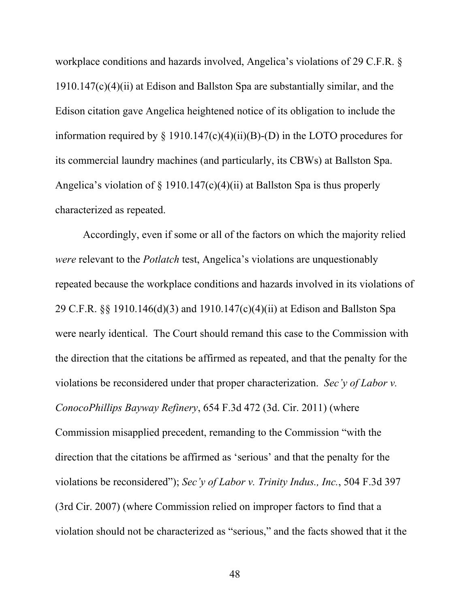workplace conditions and hazards involved, Angelica's violations of 29 C.F.R. § 1910.147(c)(4)(ii) at Edison and Ballston Spa are substantially similar, and the Edison citation gave Angelica heightened notice of its obligation to include the information required by  $\S$  1910.147(c)(4)(ii)(B)-(D) in the LOTO procedures for its commercial laundry machines (and particularly, its CBWs) at Ballston Spa. Angelica's violation of  $\S$  1910.147(c)(4)(ii) at Ballston Spa is thus properly characterized as repeated.

Accordingly, even if some or all of the factors on which the majority relied *were* relevant to the *Potlatch* test, Angelica's violations are unquestionably repeated because the workplace conditions and hazards involved in its violations of 29 C.F.R. §§ 1910.146(d)(3) and 1910.147(c)(4)(ii) at Edison and Ballston Spa were nearly identical. The Court should remand this case to the Commission with the direction that the citations be affirmed as repeated, and that the penalty for the violations be reconsidered under that proper characterization. *Sec'y of Labor v. ConocoPhillips Bayway Refinery*, 654 F.3d 472 (3d. Cir. 2011) (where Commission misapplied precedent, remanding to the Commission "with the direction that the citations be affirmed as 'serious' and that the penalty for the violations be reconsidered"); *Sec'y of Labor v. Trinity Indus., Inc.*, 504 F.3d 397 (3rd Cir. 2007) (where Commission relied on improper factors to find that a violation should not be characterized as "serious," and the facts showed that it the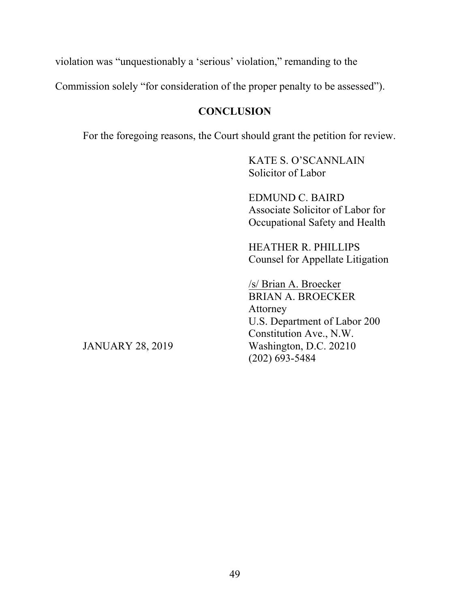<span id="page-58-0"></span>violation was "unquestionably a 'serious' violation," remanding to the

Commission solely "for consideration of the proper penalty to be assessed").

# **CONCLUSION**

For the foregoing reasons, the Court should grant the petition for review.

KATE S. O'SCANNLAIN Solicitor of Labor

EDMUND C. BAIRD Associate Solicitor of Labor for Occupational Safety and Health

HEATHER R. PHILLIPS Counsel for Appellate Litigation

/s/ Brian A. Broecker BRIAN A. BROECKER Attorney U.S. Department of Labor 200 Constitution Ave., N.W. Washington, D.C. 20210 (202) 693-5484

JANUARY 28, 2019